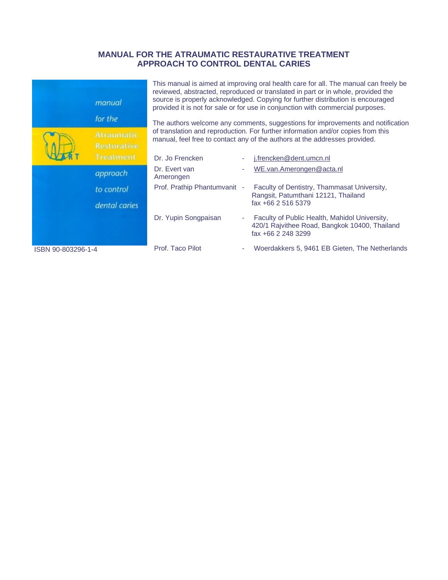# **MANUAL FOR THE ATRAUMATIC RESTAURATIVE TREATMENT APPROACH TO CONTROL DENTAL CARIES**

|                    | manual                           | This manual is aimed at improving oral health care for all. The manual can freely be<br>reviewed, abstracted, reproduced or translated in part or in whole, provided the<br>source is properly acknowledged. Copying for further distribution is encouraged<br>provided it is not for sale or for use in conjunction with commercial purposes.<br>The authors welcome any comments, suggestions for improvements and notification<br>of translation and reproduction. For further information and/or copies from this<br>manual, feel free to contact any of the authors at the addresses provided. |  |                                                                                                                      |  |
|--------------------|----------------------------------|-----------------------------------------------------------------------------------------------------------------------------------------------------------------------------------------------------------------------------------------------------------------------------------------------------------------------------------------------------------------------------------------------------------------------------------------------------------------------------------------------------------------------------------------------------------------------------------------------------|--|----------------------------------------------------------------------------------------------------------------------|--|
|                    | for the                          |                                                                                                                                                                                                                                                                                                                                                                                                                                                                                                                                                                                                     |  |                                                                                                                      |  |
|                    | Atraumatic<br><b>Restorative</b> |                                                                                                                                                                                                                                                                                                                                                                                                                                                                                                                                                                                                     |  |                                                                                                                      |  |
|                    | Treatment                        | Dr. Jo Frencken                                                                                                                                                                                                                                                                                                                                                                                                                                                                                                                                                                                     |  | j.frencken@dent.umcn.nl                                                                                              |  |
|                    | approach                         | Dr. Evert van<br>Amerongen                                                                                                                                                                                                                                                                                                                                                                                                                                                                                                                                                                          |  | WE.van.Amerongen@acta.nl                                                                                             |  |
|                    | to control                       | Prof. Prathip Phantumvanit -                                                                                                                                                                                                                                                                                                                                                                                                                                                                                                                                                                        |  | Faculty of Dentistry, Thammasat University,<br>Rangsit, Patumthani 12121, Thailand                                   |  |
|                    | dental caries                    |                                                                                                                                                                                                                                                                                                                                                                                                                                                                                                                                                                                                     |  | fax +66 2 516 5379                                                                                                   |  |
|                    |                                  | Dr. Yupin Songpaisan                                                                                                                                                                                                                                                                                                                                                                                                                                                                                                                                                                                |  | Faculty of Public Health, Mahidol University,<br>420/1 Rajvithee Road, Bangkok 10400, Thailand<br>fax +66 2 248 3299 |  |
| ISBN 90-803296-1-4 |                                  | Prof. Taco Pilot                                                                                                                                                                                                                                                                                                                                                                                                                                                                                                                                                                                    |  | Woerdakkers 5, 9461 EB Gieten, The Netherlands                                                                       |  |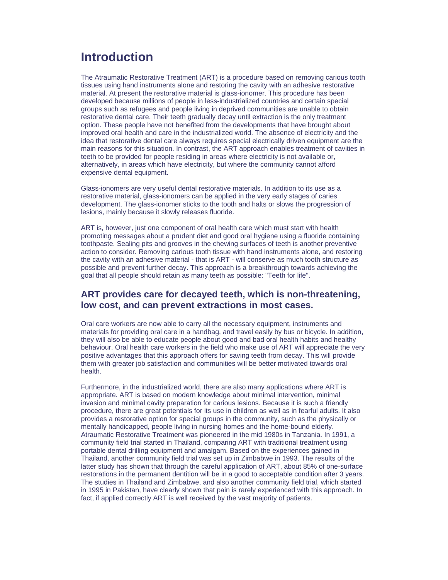# **Introduction**

The Atraumatic Restorative Treatment (ART) is a procedure based on removing carious tooth tissues using hand instruments alone and restoring the cavity with an adhesive restorative material. At present the restorative material is glass-ionomer. This procedure has been developed because millions of people in less-industrialized countries and certain special groups such as refugees and people living in deprived communities are unable to obtain restorative dental care. Their teeth gradually decay until extraction is the only treatment option. These people have not benefited from the developments that have brought about improved oral health and care in the industrialized world. The absence of electricity and the idea that restorative dental care always requires special electrically driven equipment are the main reasons for this situation. In contrast, the ART approach enables treatment of cavities in teeth to be provided for people residing in areas where electricity is not available or, alternatively, in areas which have electricity, but where the community cannot afford expensive dental equipment.

Glass-ionomers are very useful dental restorative materials. In addition to its use as a restorative material, glass-ionomers can be applied in the very early stages of caries development. The glass-ionomer sticks to the tooth and halts or slows the progression of lesions, mainly because it slowly releases fluoride.

ART is, however, just one component of oral health care which must start with health promoting messages about a prudent diet and good oral hygiene using a fluoride containing toothpaste. Sealing pits and grooves in the chewing surfaces of teeth is another preventive action to consider. Removing carious tooth tissue with hand instruments alone, and restoring the cavity with an adhesive material - that is ART - will conserve as much tooth structure as possible and prevent further decay. This approach is a breakthrough towards achieving the goal that all people should retain as many teeth as possible: "Teeth for life".

### **ART provides care for decayed teeth, which is non-threatening, low cost, and can prevent extractions in most cases.**

Oral care workers are now able to carry all the necessary equipment, instruments and materials for providing oral care in a handbag, and travel easily by bus or bicycle. In addition, they will also be able to educate people about good and bad oral health habits and healthy behaviour. Oral health care workers in the field who make use of ART will appreciate the very positive advantages that this approach offers for saving teeth from decay. This will provide them with greater job satisfaction and communities will be better motivated towards oral health.

Furthermore, in the industrialized world, there are also many applications where ART is appropriate. ART is based on modern knowledge about minimal intervention, minimal invasion and minimal cavity preparation for carious lesions. Because it is such a friendly procedure, there are great potentials for its use in children as well as in fearful adults. It also provides a restorative option for special groups in the community, such as the physically or mentally handicapped, people living in nursing homes and the home-bound elderly. Atraumatic Restorative Treatment was pioneered in the mid 1980s in Tanzania. In 1991, a community field trial started in Thailand, comparing ART with traditional treatment using portable dental drilling equipment and amalgam. Based on the experiences gained in Thailand, another community field trial was set up in Zimbabwe in 1993. The results of the latter study has shown that through the careful application of ART, about 85% of one-surface restorations in the permanent dentition will be in a good to acceptable condition after 3 years. The studies in Thailand and Zimbabwe, and also another community field trial, which started in 1995 in Pakistan, have clearly shown that pain is rarely experienced with this approach. In fact, if applied correctly ART is well received by the vast majority of patients.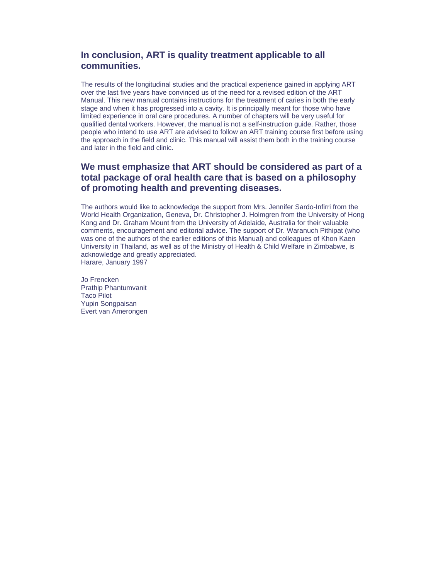## **In conclusion, ART is quality treatment applicable to all communities.**

The results of the longitudinal studies and the practical experience gained in applying ART over the last five years have convinced us of the need for a revised edition of the ART Manual. This new manual contains instructions for the treatment of caries in both the early stage and when it has progressed into a cavity. It is principally meant for those who have limited experience in oral care procedures. A number of chapters will be very useful for qualified dental workers. However, the manual is not a self-instruction guide. Rather, those people who intend to use ART are advised to follow an ART training course first before using the approach in the field and clinic. This manual will assist them both in the training course and later in the field and clinic.

# **We must emphasize that ART should be considered as part of a total package of oral health care that is based on a philosophy of promoting health and preventing diseases.**

The authors would like to acknowledge the support from Mrs. Jennifer Sardo-Infirri from the World Health Organization, Geneva, Dr. Christopher J. Holmgren from the University of Hong Kong and Dr. Graham Mount from the University of Adelaide, Australia for their valuable comments, encouragement and editorial advice. The support of Dr. Waranuch Pithipat (who was one of the authors of the earlier editions of this Manual) and colleagues of Khon Kaen University in Thailand, as well as of the Ministry of Health & Child Welfare in Zimbabwe, is acknowledge and greatly appreciated. Harare, January 1997

Jo Frencken Prathip Phantumvanit Taco Pilot Yupin Songpaisan Evert van Amerongen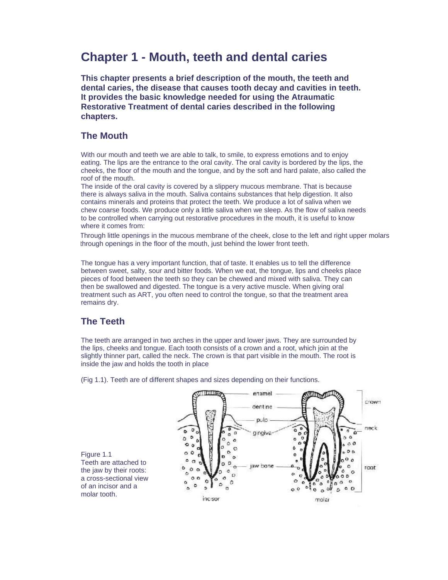# **Chapter 1 - Mouth, teeth and dental caries**

**This chapter presents a brief description of the mouth, the teeth and dental caries, the disease that causes tooth decay and cavities in teeth. It provides the basic knowledge needed for using the Atraumatic Restorative Treatment of dental caries described in the following chapters.**

### **The Mouth**

With our mouth and teeth we are able to talk, to smile, to express emotions and to enjoy eating. The lips are the entrance to the oral cavity. The oral cavity is bordered by the lips, the cheeks, the floor of the mouth and the tongue, and by the soft and hard palate, also called the roof of the mouth.

The inside of the oral cavity is covered by a slippery mucous membrane. That is because there is always saliva in the mouth. Saliva contains substances that help digestion. It also contains minerals and proteins that protect the teeth. We produce a lot of saliva when we chew coarse foods. We produce only a little saliva when we sleep. As the flow of saliva needs to be controlled when carrying out restorative procedures in the mouth, it is useful to know where it comes from:

Through little openings in the mucous membrane of the cheek, close to the left and right upper molars through openings in the floor of the mouth, just behind the lower front teeth.

The tongue has a very important function, that of taste. It enables us to tell the difference between sweet, salty, sour and bitter foods. When we eat, the tongue, lips and cheeks place pieces of food between the teeth so they can be chewed and mixed with saliva. They can then be swallowed and digested. The tongue is a very active muscle. When giving oral treatment such as ART, you often need to control the tongue, so that the treatment area remains dry.

### **The Teeth**

The teeth are arranged in two arches in the upper and lower jaws. They are surrounded by the lips, cheeks and tongue. Each tooth consists of a crown and a root, which join at the slightly thinner part, called the neck. The crown is that part visible in the mouth. The root is inside the jaw and holds the tooth in place



(Fig 1.1). Teeth are of different shapes and sizes depending on their functions.

Figure 1.1 Teeth are attached to the jaw by their roots: a cross-sectional view of an incisor and a molar tooth.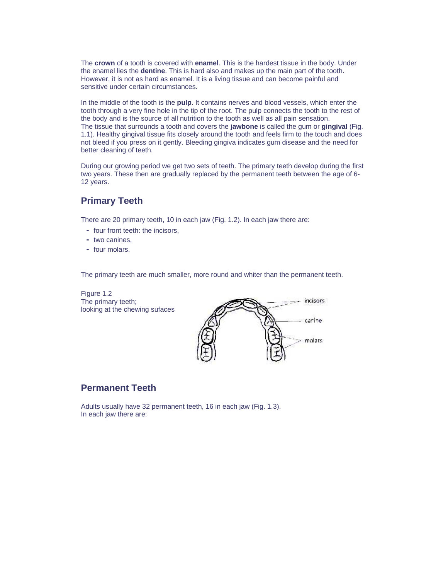The **crown** of a tooth is covered with **enamel**. This is the hardest tissue in the body. Under the enamel lies the **dentine**. This is hard also and makes up the main part of the tooth. However, it is not as hard as enamel. It is a living tissue and can become painful and sensitive under certain circumstances.

In the middle of the tooth is the **pulp**. It contains nerves and blood vessels, which enter the tooth through a very fine hole in the tip of the root. The pulp connects the tooth to the rest of the body and is the source of all nutrition to the tooth as well as all pain sensation. The tissue that surrounds a tooth and covers the **jawbone** is called the gum or **gingival** (Fig. 1.1). Healthy gingival tissue fits closely around the tooth and feels firm to the touch and does not bleed if you press on it gently. Bleeding gingiva indicates gum disease and the need for better cleaning of teeth.

During our growing period we get two sets of teeth. The primary teeth develop during the first two years. These then are gradually replaced by the permanent teeth between the age of 6- 12 years.

# **Primary Teeth**

There are 20 primary teeth, 10 in each jaw (Fig. 1.2). In each jaw there are:

- four front teeth: the incisors,
- two canines,
- four molars.

The primary teeth are much smaller, more round and whiter than the permanent teeth.

Figure 1.2 The primary teeth; looking at the chewing sufaces



### **Permanent Teeth**

Adults usually have 32 permanent teeth, 16 in each jaw (Fig. 1.3). In each jaw there are: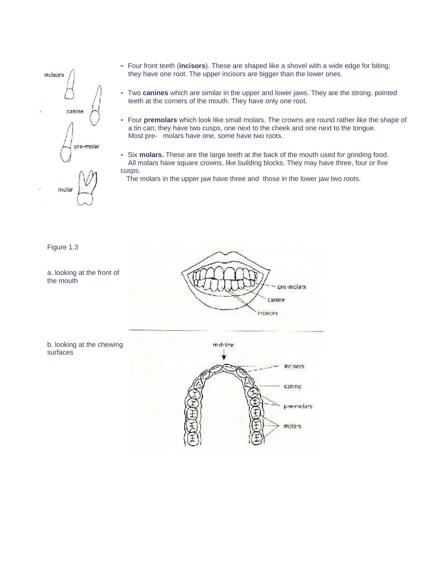

- Four front teeth (**incisors**). These are shaped like a shovel with a wide edge for biting; they have one root. The upper incisors are bigger than the lower ones.
- Two **canines** which are similar in the upper and lower jaws. They are the strong, pointed teeth at the corners of the mouth. They have only one root.
- Four **premolars** which look like small molars. The crowns are round rather like the shape of a tin can; they have two cusps, one next to the cheek and one next to the tongue. Most pre- molars have one, some have two roots.
- Six **molars.** These are the large teeth at the back of the mouth used for grinding food. All molars have square crowns, like building blocks. They may have three, four or five cusps.
	- The molars in the upper jaw have three and those in the lower jaw two roots.

Figure 1.3

a. looking at the front of the mouth



b. looking at the chewing surfaces

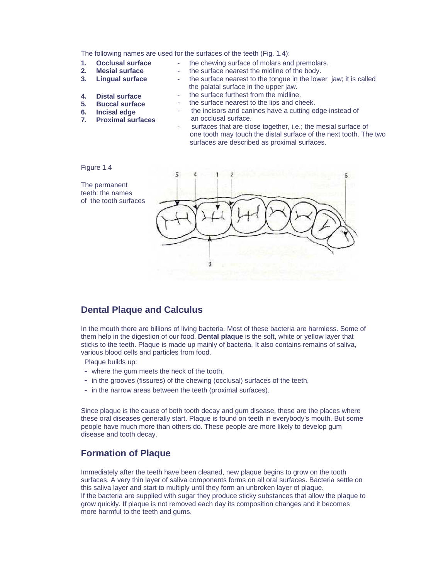The following names are used for the surfaces of the teeth (Fig. 1.4):

- **1. Occlusal surface**
- **2. Mesial surface**
- **3. Lingual surface**
- the surface nearest the midline of the body.

- the chewing surface of molars and premolars.

- the surface nearest to the tongue in the lower jaw; it is called the palatal surface in the upper jaw.
- the surface furthest from the midline.
- the surface nearest to the lips and cheek. the incisors and canines have a cutting edge instead of
- **4. Distal surface 5. Buccal surface 6. Incisal edge**
- 
- **7. Proximal surfaces**
- an occlusal surface. surfaces that are close together, i.e.; the mesial surface of one tooth may touch the distal surface of the next tooth. The two

surfaces are described as proximal surfaces.

#### Figure 1.4



#### **Dental Plaque and Calculus**

In the mouth there are billions of living bacteria. Most of these bacteria are harmless. Some of them help in the digestion of our food. **Dental plaque** is the soft, white or yellow layer that sticks to the teeth. Plaque is made up mainly of bacteria. It also contains remains of saliva, various blood cells and particles from food.

Plaque builds up:

- where the gum meets the neck of the tooth,
- in the grooves (fissures) of the chewing (occlusal) surfaces of the teeth,
- in the narrow areas between the teeth (proximal surfaces).

Since plaque is the cause of both tooth decay and gum disease, these are the places where these oral diseases generally start. Plaque is found on teeth in everybody's mouth. But some people have much more than others do. These people are more likely to develop gum disease and tooth decay.

# **Formation of Plaque**

Immediately after the teeth have been cleaned, new plaque begins to grow on the tooth surfaces. A very thin layer of saliva components forms on all oral surfaces. Bacteria settle on this saliva layer and start to multiply until they form an unbroken layer of plaque. If the bacteria are supplied with sugar they produce sticky substances that allow the plaque to grow quickly. If plaque is not removed each day its composition changes and it becomes more harmful to the teeth and gums.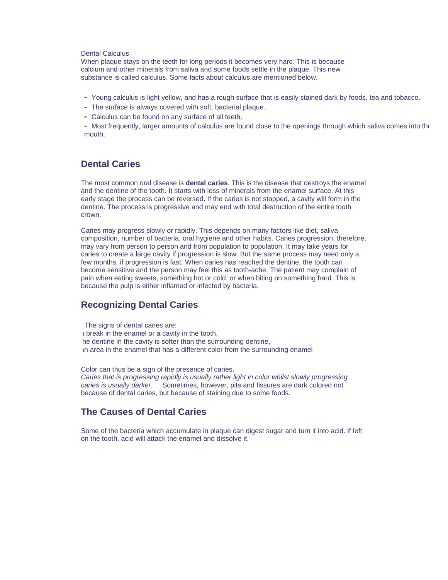#### Dental Calculus

When plaque stays on the teeth for long periods it becomes very hard. This is because calcium and other minerals from saliva and some foods settle in the plaque. This new substance is called calculus. Some facts about calculus are mentioned below.

- Young calculus is light yellow, and has a rough surface that is easily stained dark by foods, tea and tobacco.
- The surface is always covered with soft, bacterial plaque.
- Calculus can be found on any surface of all teeth,

**-** Most frequently, larger amounts of calculus are found close to the openings through which saliva comes into the mouth.

#### **Dental Caries**

The most common oral disease is **dental caries**. This is the disease that destroys the enamel and the dentine of the tooth. It starts with loss of minerals from the enamel surface. At this early stage the process can be reversed. If the caries is not stopped, a cavity will form in the dentine. The process is progressive and may end with total destruction of the entire tooth crown.

Caries may progress slowly or rapidly. This depends on many factors like diet, saliva composition, number of bacteria, oral hygiene and other habits. Caries progression, therefore, may vary from person to person and from population to population. It may take years for caries to create a large cavity if progression is slow. But the same process may need only a few months, if progression is fast. When caries has reached the dentine, the tooth can become sensitive and the person may feel this as tooth-ache. The patient may complain of pain when eating sweets, something hot or cold, or when biting on something hard. This is because the pulp is either inflamed or infected by bacteria.

#### **Recognizing Dental Caries**

The signs of dental caries are: a break in the enamel or a cavity in the tooth, he dentine in the cavity is softer than the surrounding dentine, an area in the enamel that has a different color from the surrounding enamel

Color can thus be a sign of the presence of caries. *Caries that is progressing rapidly is usually rather light in color whilst slowly progressing caries is usually darker.* Sometimes, however, pits and fissures are dark colored not because of dental caries, but because of staining due to some foods.

#### **The Causes of Dental Caries**

Some of the bacteria which accumulate in plaque can digest sugar and turn it into acid. If left on the tooth, acid will attack the enamel and dissolve it.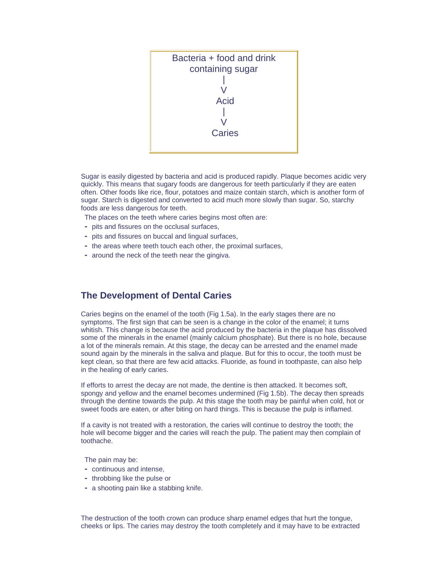

Sugar is easily digested by bacteria and acid is produced rapidly. Plaque becomes acidic very quickly. This means that sugary foods are dangerous for teeth particularly if they are eaten often. Other foods like rice, flour, potatoes and maize contain starch, which is another form of sugar. Starch is digested and converted to acid much more slowly than sugar. So, starchy foods are less dangerous for teeth.

The places on the teeth where caries begins most often are:

- pits and fissures on the occlusal surfaces,
- pits and fissures on buccal and lingual surfaces,
- the areas where teeth touch each other, the proximal surfaces,
- around the neck of the teeth near the gingiva.

#### **The Development of Dental Caries**

Caries begins on the enamel of the tooth (Fig 1.5a). In the early stages there are no symptoms. The first sign that can be seen is a change in the color of the enamel; it turns whitish. This change is because the acid produced by the bacteria in the plaque has dissolved some of the minerals in the enamel (mainly calcium phosphate). But there is no hole, because a lot of the minerals remain. At this stage, the decay can be arrested and the enamel made sound again by the minerals in the saliva and plaque. But for this to occur, the tooth must be kept clean, so that there are few acid attacks. Fluoride, as found in toothpaste, can also help in the healing of early caries.

If efforts to arrest the decay are not made, the dentine is then attacked. It becomes soft, spongy and yellow and the enamel becomes undermined (Fig 1.5b). The decay then spreads through the dentine towards the pulp. At this stage the tooth may be painful when cold, hot or sweet foods are eaten, or after biting on hard things. This is because the pulp is inflamed.

If a cavity is not treated with a restoration, the caries will continue to destroy the tooth; the hole will become bigger and the caries will reach the pulp. The patient may then complain of toothache.

The pain may be:

- continuous and intense,
- throbbing like the pulse or
- a shooting pain like a stabbing knife.

The destruction of the tooth crown can produce sharp enamel edges that hurt the tongue, cheeks or lips. The caries may destroy the tooth completely and it may have to be extracted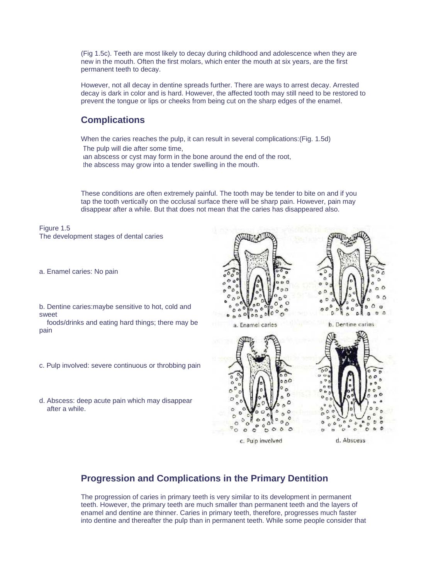(Fig 1.5c). Teeth are most likely to decay during childhood and adolescence when they are new in the mouth. Often the first molars, which enter the mouth at six years, are the first permanent teeth to decay.

However, not all decay in dentine spreads further. There are ways to arrest decay. Arrested decay is dark in color and is hard. However, the affected tooth may still need to be restored to prevent the tongue or lips or cheeks from being cut on the sharp edges of the enamel.

# **Complications**

When the caries reaches the pulp, it can result in several complications:(Fig. 1.5d)

- The pulp will die after some time,
- ian abscess or cyst may form in the bone around the end of the root,
- the abscess may grow into a tender swelling in the mouth.

These conditions are often extremely painful. The tooth may be tender to bite on and if you tap the tooth vertically on the occlusal surface there will be sharp pain. However, pain may disappear after a while. But that does not mean that the caries has disappeared also.

Figure 1.5 The development stages of dental caries

a. Enamel caries: No pain

b. Dentine caries:maybe sensitive to hot, cold and sweet

 foods/drinks and eating hard things; there may be pain

- c. Pulp involved: severe continuous or throbbing pain
- d. Abscess: deep acute pain which may disappear after a while.



c. Pulp involved

d. Abscess

# **Progression and Complications in the Primary Dentition**

The progression of caries in primary teeth is very similar to its development in permanent teeth. However, the primary teeth are much smaller than permanent teeth and the layers of enamel and dentine are thinner. Caries in primary teeth, therefore, progresses much faster into dentine and thereafter the pulp than in permanent teeth. While some people consider that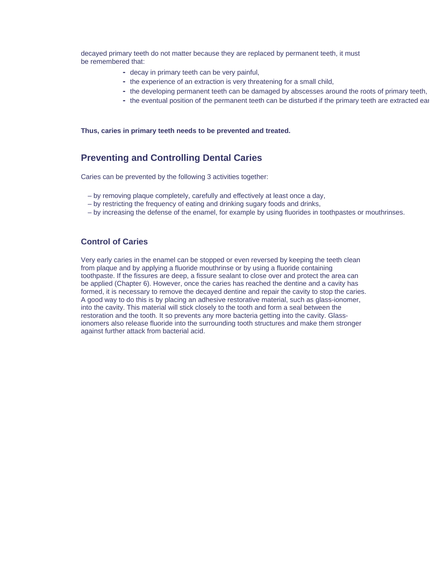decayed primary teeth do not matter because they are replaced by permanent teeth, it must be remembered that:

- decay in primary teeth can be very painful,
- the experience of an extraction is very threatening for a small child,
- the developing permanent teeth can be damaged by abscesses around the roots of primary teeth,
- the eventual position of the permanent teeth can be disturbed if the primary teeth are extracted ear

#### **Thus, caries in primary teeth needs to be prevented and treated.**

#### **Preventing and Controlling Dental Caries**

Caries can be prevented by the following 3 activities together:

- by removing plaque completely, carefully and effectively at least once a day,
- by restricting the frequency of eating and drinking sugary foods and drinks,
- by increasing the defense of the enamel, for example by using fluorides in toothpastes or mouthrinses.

#### **Control of Caries**

Very early caries in the enamel can be stopped or even reversed by keeping the teeth clean from plaque and by applying a fluoride mouthrinse or by using a fluoride containing toothpaste. If the fissures are deep, a fissure sealant to close over and protect the area can be applied (Chapter 6). However, once the caries has reached the dentine and a cavity has formed, it is necessary to remove the decayed dentine and repair the cavity to stop the caries. A good way to do this is by placing an adhesive restorative material, such as glass-ionomer, into the cavity. This material will stick closely to the tooth and form a seal between the restoration and the tooth. It so prevents any more bacteria getting into the cavity. Glassionomers also release fluoride into the surrounding tooth structures and make them stronger against further attack from bacterial acid.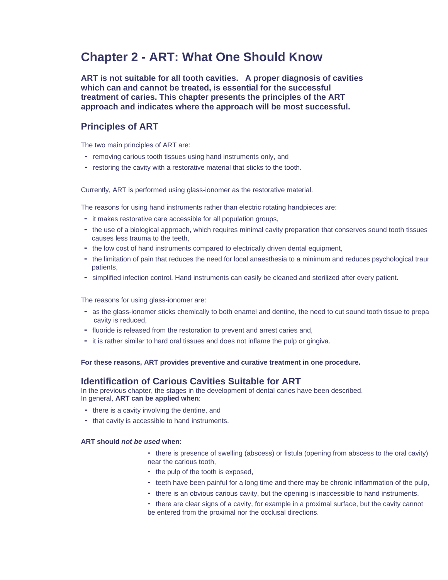# **Chapter 2 - ART: What One Should Know**

**ART is not suitable for all tooth cavities. A proper diagnosis of cavities which can and cannot be treated, is essential for the successful treatment of caries. This chapter presents the principles of the ART approach and indicates where the approach will be most successful.**

### **Principles of ART**

The two main principles of ART are:

- removing carious tooth tissues using hand instruments only, and
- restoring the cavity with a restorative material that sticks to the tooth.

Currently, ART is performed using glass-ionomer as the restorative material.

The reasons for using hand instruments rather than electric rotating handpieces are:

- it makes restorative care accessible for all population groups,
- the use of a biological approach, which requires minimal cavity preparation that conserves sound tooth tissues causes less trauma to the teeth,
- the low cost of hand instruments compared to electrically driven dental equipment,
- the limitation of pain that reduces the need for local anaesthesia to a minimum and reduces psychological traum patients,
- simplified infection control. Hand instruments can easily be cleaned and sterilized after every patient.

The reasons for using glass-ionomer are:

- as the glass-ionomer sticks chemically to both enamel and dentine, the need to cut sound tooth tissue to prepa cavity is reduced,
- fluoride is released from the restoration to prevent and arrest caries and,
- it is rather similar to hard oral tissues and does not inflame the pulp or gingiva.

**For these reasons, ART provides preventive and curative treatment in one procedure.**

#### **Identification of Carious Cavities Suitable for ART**

In the previous chapter, the stages in the development of dental caries have been described. In general, **ART can be applied when**:

- there is a cavity involving the dentine, and
- that cavity is accessible to hand instruments.

#### **ART should** *not be used* **when**:

- there is presence of swelling (abscess) or fistula (opening from abscess to the oral cavity) near the carious tooth,
- the pulp of the tooth is exposed,
- teeth have been painful for a long time and there may be chronic inflammation of the pulp,
- there is an obvious carious cavity, but the opening is inaccessible to hand instruments,
- there are clear signs of a cavity, for example in a proximal surface, but the cavity cannot be entered from the proximal nor the occlusal directions.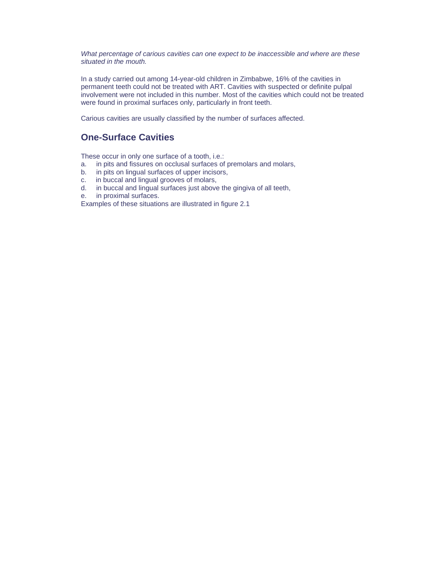*What percentage of carious cavities can one expect to be inaccessible and where are these situated in the mouth.* 

In a study carried out among 14-year-old children in Zimbabwe, 16% of the cavities in permanent teeth could not be treated with ART. Cavities with suspected or definite pulpal involvement were not included in this number. Most of the cavities which could not be treated were found in proximal surfaces only, particularly in front teeth.

Carious cavities are usually classified by the number of surfaces affected.

# **One-Surface Cavities**

These occur in only one surface of a tooth, i.e.:

- a. in pits and fissures on occlusal surfaces of premolars and molars,
- b. in pits on lingual surfaces of upper incisors,
- c. in buccal and lingual grooves of molars,
- d. in buccal and lingual surfaces just above the gingiva of all teeth,
- e. in proximal surfaces.

Examples of these situations are illustrated in figure 2.1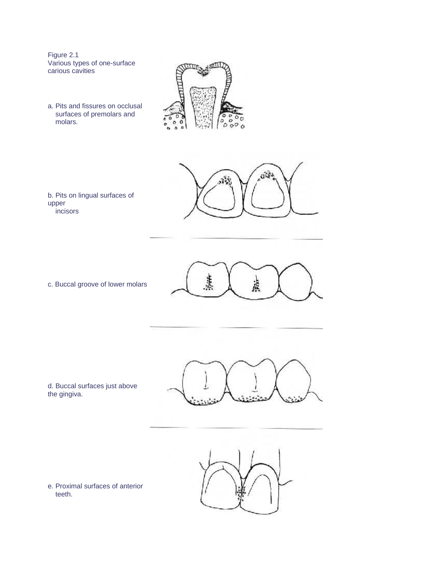Figure 2.1 Various types of one-surface carious cavities

a. Pits and fissures on occlusal surfaces of premolars and molars.





b. Pits on lingual surfaces of upper incisors

c. Buccal groove of lower molars



d. Buccal surfaces just above the gingiva.





e. Proximal surfaces of anterior teeth.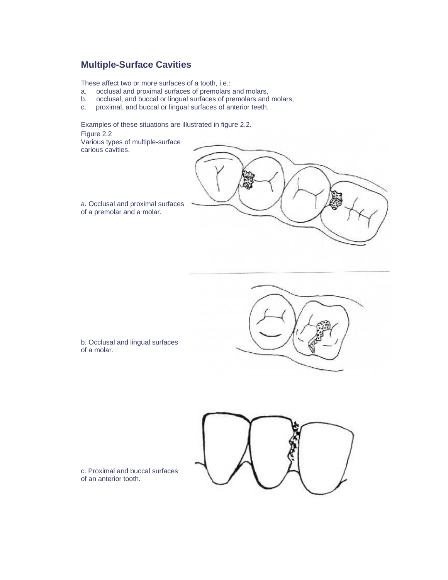# **Multiple-Surface Cavities**

These affect two or more surfaces of a tooth, i.e.:

- a. occlusal and proximal surfaces of premolars and molars,
- b. occlusal, and buccal or lingual surfaces of premolars and molars,
- c. proximal, and buccal or lingual surfaces of anterior teeth.

Examples of these situations are illustrated in figure 2.2.

Figure 2.2 Various types of multiple-surface carious cavities.



a. Occlusal and proximal surfaces of a premolar and a molar.



b. Occlusal and lingual surfaces of a molar.



c. Proximal and buccal surfaces of an anterior tooth.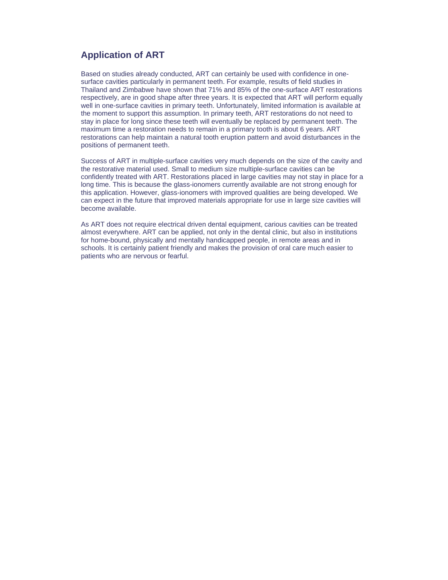# **Application of ART**

Based on studies already conducted, ART can certainly be used with confidence in onesurface cavities particularly in permanent teeth. For example, results of field studies in Thailand and Zimbabwe have shown that 71% and 85% of the one-surface ART restorations respectively, are in good shape after three years. It is expected that ART will perform equally well in one-surface cavities in primary teeth. Unfortunately, limited information is available at the moment to support this assumption. In primary teeth, ART restorations do not need to stay in place for long since these teeth will eventually be replaced by permanent teeth. The maximum time a restoration needs to remain in a primary tooth is about 6 years. ART restorations can help maintain a natural tooth eruption pattern and avoid disturbances in the positions of permanent teeth.

Success of ART in multiple-surface cavities very much depends on the size of the cavity and the restorative material used. Small to medium size multiple-surface cavities can be confidently treated with ART. Restorations placed in large cavities may not stay in place for a long time. This is because the glass-ionomers currently available are not strong enough for this application. However, glass-ionomers with improved qualities are being developed. We can expect in the future that improved materials appropriate for use in large size cavities will become available.

As ART does not require electrical driven dental equipment, carious cavities can be treated almost everywhere. ART can be applied, not only in the dental clinic, but also in institutions for home-bound, physically and mentally handicapped people, in remote areas and in schools. It is certainly patient friendly and makes the provision of oral care much easier to patients who are nervous or fearful.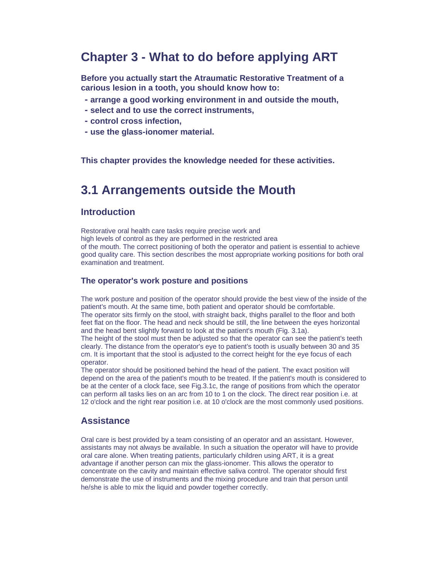# **Chapter 3 - What to do before applying ART**

**Before you actually start the Atraumatic Restorative Treatment of a carious lesion in a tooth, you should know how to:**

- **arrange a good working environment in and outside the mouth,**
- **select and to use the correct instruments,**
- **control cross infection,**
- **use the glass-ionomer material.**

**This chapter provides the knowledge needed for these activities.**

# **3.1 Arrangements outside the Mouth**

#### **Introduction**

Restorative oral health care tasks require precise work and high levels of control as they are performed in the restricted area of the mouth. The correct positioning of both the operator and patient is essential to achieve good quality care. This section describes the most appropriate working positions for both oral examination and treatment.

#### **The operator's work posture and positions**

The work posture and position of the operator should provide the best view of the inside of the patient's mouth. At the same time, both patient and operator should be comfortable. The operator sits firmly on the stool, with straight back, thighs parallel to the floor and both feet flat on the floor. The head and neck should be still, the line between the eyes horizontal and the head bent slightly forward to look at the patient's mouth (Fig. 3.1a).

The height of the stool must then be adjusted so that the operator can see the patient's teeth clearly. The distance from the operator's eye to patient's tooth is usually between 30 and 35 cm. It is important that the stool is adjusted to the correct height for the eye focus of each operator.

The operator should be positioned behind the head of the patient. The exact position will depend on the area of the patient's mouth to be treated. If the patient's mouth is considered to be at the center of a clock face, see Fig.3.1c, the range of positions from which the operator can perform all tasks lies on an arc from 10 to 1 on the clock. The direct rear position i.e. at 12 o'clock and the right rear position i.e. at 10 o'clock are the most commonly used positions.

### **Assistance**

Oral care is best provided by a team consisting of an operator and an assistant. However, assistants may not always be available. In such a situation the operator will have to provide oral care alone. When treating patients, particularly children using ART, it is a great advantage if another person can mix the glass-ionomer. This allows the operator to concentrate on the cavity and maintain effective saliva control. The operator should first demonstrate the use of instruments and the mixing procedure and train that person until he/she is able to mix the liquid and powder together correctly.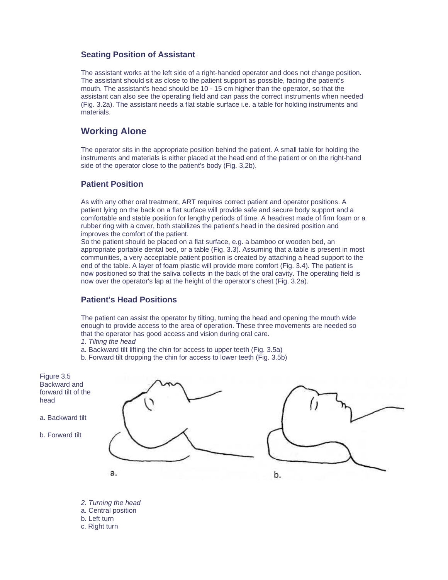#### **Seating Position of Assistant**

The assistant works at the left side of a right-handed operator and does not change position. The assistant should sit as close to the patient support as possible, facing the patient's mouth. The assistant's head should be 10 - 15 cm higher than the operator, so that the assistant can also see the operating field and can pass the correct instruments when needed (Fig. 3.2a). The assistant needs a flat stable surface i.e. a table for holding instruments and materials.

### **Working Alone**

The operator sits in the appropriate position behind the patient. A small table for holding the instruments and materials is either placed at the head end of the patient or on the right-hand side of the operator close to the patient's body (Fig. 3.2b).

#### **Patient Position**

As with any other oral treatment, ART requires correct patient and operator positions. A patient lying on the back on a flat surface will provide safe and secure body support and a comfortable and stable position for lengthy periods of time. A headrest made of firm foam or a rubber ring with a cover, both stabilizes the patient's head in the desired position and improves the comfort of the patient.

So the patient should be placed on a flat surface, e.g. a bamboo or wooden bed, an appropriate portable dental bed, or a table (Fig. 3.3). Assuming that a table is present in most communities, a very acceptable patient position is created by attaching a head support to the end of the table. A layer of foam plastic will provide more comfort (Fig. 3.4). The patient is now positioned so that the saliva collects in the back of the oral cavity. The operating field is now over the operator's lap at the height of the operator's chest (Fig. 3.2a).

#### **Patient's Head Positions**

The patient can assist the operator by tilting, turning the head and opening the mouth wide enough to provide access to the area of operation. These three movements are needed so that the operator has good access and vision during oral care.

- *1. Tilting the head*
- a. Backward tilt lifting the chin for access to upper teeth (Fig. 3.5a)
- b. Forward tilt dropping the chin for access to lower teeth (Fig. 3.5b)

Figure 3.5 Backward and forward tilt of the head

a. Backward tilt

b. Forward tilt





*2. Turning the head* a. Central position b. Left turn c. Right turn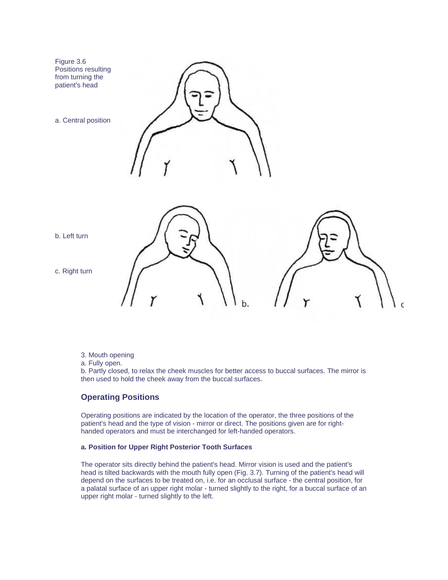

- 3. Mouth opening
- a. Fully open.

b. Partly closed, to relax the cheek muscles for better access to buccal surfaces. The mirror is then used to hold the cheek away from the buccal surfaces.

#### **Operating Positions**

Operating positions are indicated by the location of the operator, the three positions of the patient's head and the type of vision - mirror or direct. The positions given are for righthanded operators and must be interchanged for left-handed operators.

#### **a. Position for Upper Right Posterior Tooth Surfaces**

The operator sits directly behind the patient's head. Mirror vision is used and the patient's head is tilted backwards with the mouth fully open (Fig. 3.7). Turning of the patient's head will depend on the surfaces to be treated on, i.e. for an occlusal surface - the central position, for a palatal surface of an upper right molar - turned slightly to the right, for a buccal surface of an upper right molar - turned slightly to the left.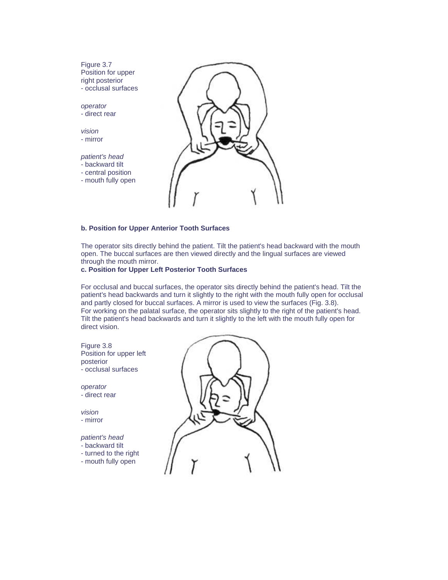# Figure 3.7 Position for upper right posterior - occlusal surfaces *operator* - direct rear *vision* - mirror *patient's head* - backward tilt - central position - mouth fully open

#### **b. Position for Upper Anterior Tooth Surfaces**

The operator sits directly behind the patient. Tilt the patient's head backward with the mouth open. The buccal surfaces are then viewed directly and the lingual surfaces are viewed through the mouth mirror.

#### **c. Position for Upper Left Posterior Tooth Surfaces**

For occlusal and buccal surfaces, the operator sits directly behind the patient's head. Tilt the patient's head backwards and turn it slightly to the right with the mouth fully open for occlusal and partly closed for buccal surfaces. A mirror is used to view the surfaces (Fig. 3.8). For working on the palatal surface, the operator sits slightly to the right of the patient's head. Tilt the patient's head backwards and turn it slightly to the left with the mouth fully open for direct vision.

Figure 3.8 Position for upper left posterior - occlusal surfaces *operator* - direct rear *vision* - mirror *patient's head* - backward tilt - turned to the right - mouth fully open

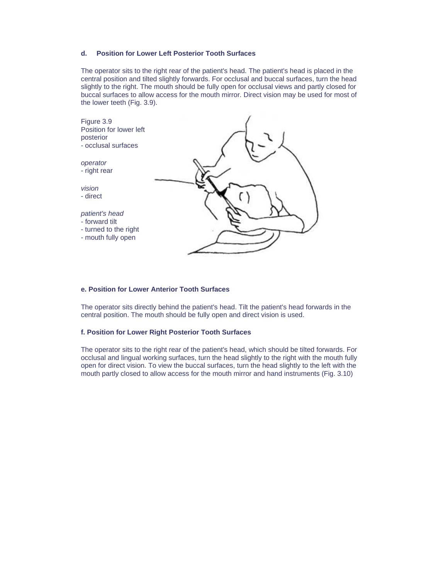#### **d. Position for Lower Left Posterior Tooth Surfaces**

The operator sits to the right rear of the patient's head. The patient's head is placed in the central position and tilted slightly forwards. For occlusal and buccal surfaces, turn the head slightly to the right. The mouth should be fully open for occlusal views and partly closed for buccal surfaces to allow access for the mouth mirror. Direct vision may be used for most of the lower teeth (Fig. 3.9).



#### **e. Position for Lower Anterior Tooth Surfaces**

The operator sits directly behind the patient's head. Tilt the patient's head forwards in the central position. The mouth should be fully open and direct vision is used.

#### **f. Position for Lower Right Posterior Tooth Surfaces**

The operator sits to the right rear of the patient's head, which should be tilted forwards. For occlusal and lingual working surfaces, turn the head slightly to the right with the mouth fully open for direct vision. To view the buccal surfaces, turn the head slightly to the left with the mouth partly closed to allow access for the mouth mirror and hand instruments (Fig. 3.10)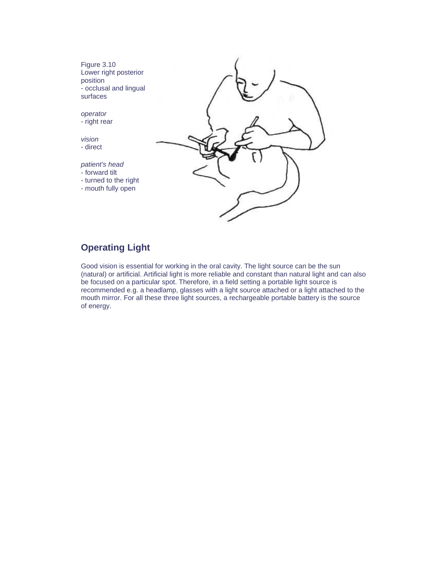Figure 3.10 Lower right posterior position - occlusal and lingual surfaces

*operator* - right rear

*vision* - direct

*patient's head*

- forward tilt
- turned to the right
- mouth fully open



# **Operating Light**

Good vision is essential for working in the oral cavity. The light source can be the sun (natural) or artificial. Artificial light is more reliable and constant than natural light and can also be focused on a particular spot. Therefore, in a field setting a portable light source is recommended e.g. a headlamp, glasses with a light source attached or a light attached to the mouth mirror. For all these three light sources, a rechargeable portable battery is the source of energy.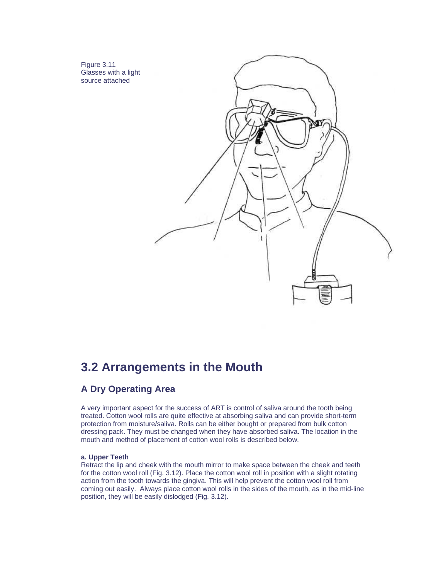Figure 3.11 Glasses with a light source attached



# **3.2 Arrangements in the Mouth**

# **A Dry Operating Area**

A very important aspect for the success of ART is control of saliva around the tooth being treated. Cotton wool rolls are quite effective at absorbing saliva and can provide short-term protection from moisture/saliva. Rolls can be either bought or prepared from bulk cotton dressing pack. They must be changed when they have absorbed saliva. The location in the mouth and method of placement of cotton wool rolls is described below.

#### **a. Upper Teeth**

Retract the lip and cheek with the mouth mirror to make space between the cheek and teeth for the cotton wool roll (Fig. 3.12). Place the cotton wool roll in position with a slight rotating action from the tooth towards the gingiva. This will help prevent the cotton wool roll from coming out easily. Always place cotton wool rolls in the sides of the mouth, as in the mid-line position, they will be easily dislodged (Fig. 3.12).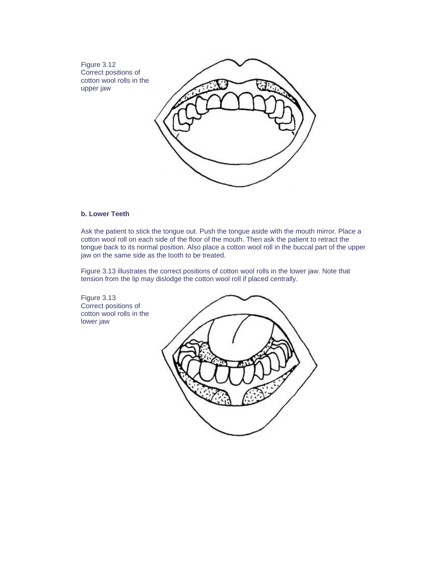Figure 3.12 Correct positions of cotton wool rolls in the upper jaw



#### **b. Lower Teeth**

Figure 3.13

lower jaw

Ask the patient to stick the tongue out. Push the tongue aside with the mouth mirror. Place a cotton wool roll on each side of the floor of the mouth. Then ask the patient to retract the tongue back to its normal position. Also place a cotton wool roll in the buccal part of the upper jaw on the same side as the tooth to be treated.

Figure 3.13 illustrates the correct positions of cotton wool rolls in the lower jaw. Note that tension from the lip may dislodge the cotton wool roll if placed centrally.

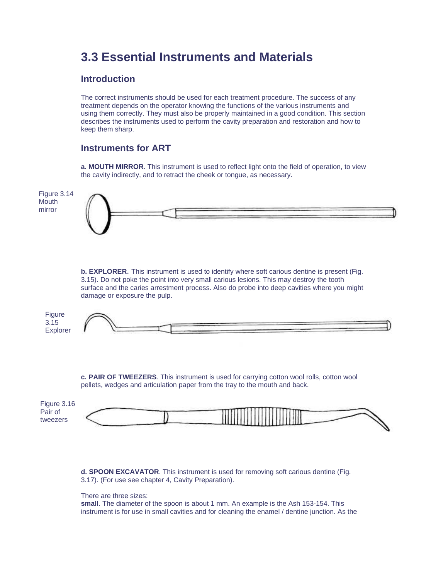# **3.3 Essential Instruments and Materials**

# **Introduction**

The correct instruments should be used for each treatment procedure. The success of any treatment depends on the operator knowing the functions of the various instruments and using them correctly. They must also be properly maintained in a good condition. This section describes the instruments used to perform the cavity preparation and restoration and how to keep them sharp.

# **Instruments for ART**

**a. MOUTH MIRROR**. This instrument is used to reflect light onto the field of operation, to view the cavity indirectly, and to retract the cheek or tongue, as necessary.

# Figure 3.14 **Mouth** mirror

**b. EXPLORER**. This instrument is used to identify where soft carious dentine is present (Fig. 3.15). Do not poke the point into very small carious lesions. This may destroy the tooth surface and the caries arrestment process. Also do probe into deep cavities where you might damage or exposure the pulp.

| Figure                           |  |  |
|----------------------------------|--|--|
| $\Omega$ $\Delta$<br><b>J.IJ</b> |  |  |
| Explorer                         |  |  |

**c. PAIR OF TWEEZERS**. This instrument is used for carrying cotton wool rolls, cotton wool pellets, wedges and articulation paper from the tray to the mouth and back.

| Figure 3.16 |                                            |  |
|-------------|--------------------------------------------|--|
| Pair of     |                                            |  |
| tweezers    | <b>THE REAL PROPERTY AND REAL PROPERTY</b> |  |
|             |                                            |  |

**d. SPOON EXCAVATOR**. This instrument is used for removing soft carious dentine (Fig. 3.17). (For use see chapter 4, Cavity Preparation).

#### There are three sizes:

**small**. The diameter of the spoon is about 1 mm. An example is the Ash 153-154. This instrument is for use in small cavities and for cleaning the enamel / dentine junction. As the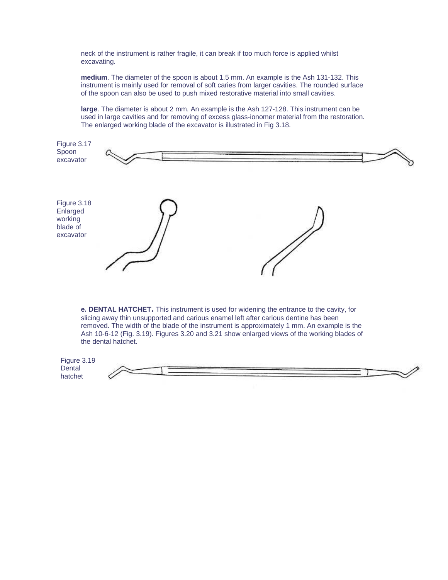neck of the instrument is rather fragile, it can break if too much force is applied whilst excavating.

**medium**. The diameter of the spoon is about 1.5 mm. An example is the Ash 131-132. This instrument is mainly used for removal of soft caries from larger cavities. The rounded surface of the spoon can also be used to push mixed restorative material into small cavities.

**large**. The diameter is about 2 mm. An example is the Ash 127-128. This instrument can be used in large cavities and for removing of excess glass-ionomer material from the restoration. The enlarged working blade of the excavator is illustrated in Fig 3.18.



**e. DENTAL HATCHET.** This instrument is used for widening the entrance to the cavity, for slicing away thin unsupported and carious enamel left after carious dentine has been removed. The width of the blade of the instrument is approximately 1 mm. An example is the Ash 10-6-12 (Fig. 3.19). Figures 3.20 and 3.21 show enlarged views of the working blades of the dental hatchet.

Figure 3.19 **Dental** hatchet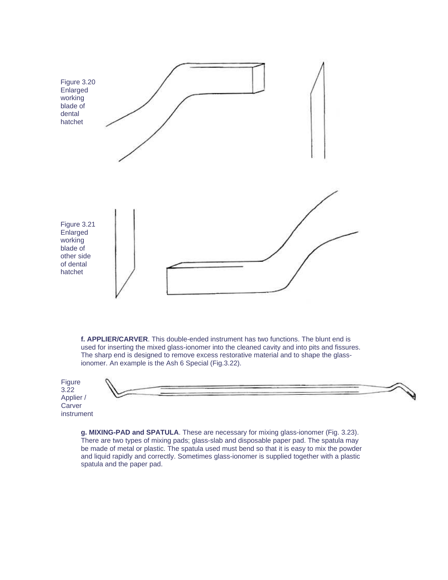

**f. APPLIER/CARVER**. This double-ended instrument has two functions. The blunt end is used for inserting the mixed glass-ionomer into the cleaned cavity and into pits and fissures. The sharp end is designed to remove excess restorative material and to shape the glassionomer. An example is the Ash 6 Special (Fig.3.22).

Figure 3.22 Applier / **Carver** instrument

**g. MIXING-PAD and SPATULA**. These are necessary for mixing glass-ionomer (Fig. 3.23). There are two types of mixing pads; glass-slab and disposable paper pad. The spatula may be made of metal or plastic. The spatula used must bend so that it is easy to mix the powder and liquid rapidly and correctly. Sometimes glass-ionomer is supplied together with a plastic spatula and the paper pad.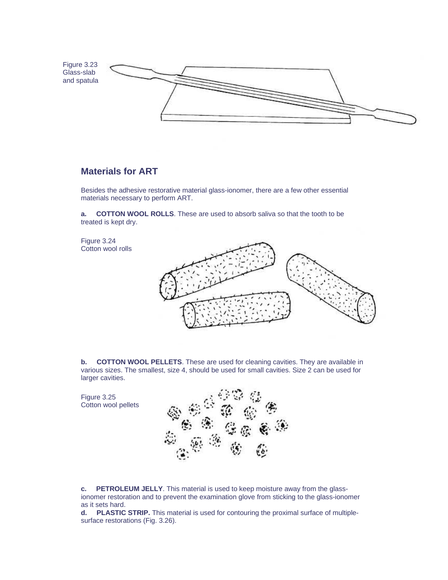

### **Materials for ART**

Besides the adhesive restorative material glass-ionomer, there are a few other essential materials necessary to perform ART.

**a. COTTON WOOL ROLLS**. These are used to absorb saliva so that the tooth to be treated is kept dry.

Figure 3.24 Cotton wool rolls



**b.** COTTON WOOL PELLETS. These are used for cleaning cavities. They are available in various sizes. The smallest, size 4, should be used for small cavities. Size 2 can be used for larger cavities.

Figure 3.25 Cotton wool pellets



**c. PETROLEUM JELLY**. This material is used to keep moisture away from the glassionomer restoration and to prevent the examination glove from sticking to the glass-ionomer as it sets hard.

**d. PLASTIC STRIP.** This material is used for contouring the proximal surface of multiplesurface restorations (Fig. 3.26).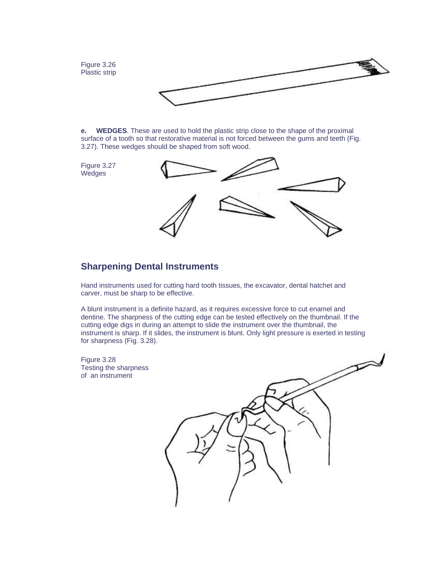Figure 3.26 Plastic strip



**e. WEDGES**. These are used to hold the plastic strip close to the shape of the proximal surface of a tooth so that restorative material is not forced between the gums and teeth (Fig. 3.27). These wedges should be shaped from soft wood.

Figure 3.27 **Wedges** 



### **Sharpening Dental Instruments**

Hand instruments used for cutting hard tooth tissues, the excavator, dental hatchet and carver, must be sharp to be effective.

A blunt instrument is a definite hazard, as it requires excessive force to cut enamel and dentine. The sharpness of the cutting edge can be tested effectively on the thumbnail. If the cutting edge digs in during an attempt to slide the instrument over the thumbnail, the instrument is sharp. If it slides, the instrument is blunt. Only light pressure is exerted in testing for sharpness (Fig. 3.28).

Figure 3.28 Testing the sharpness of an instrument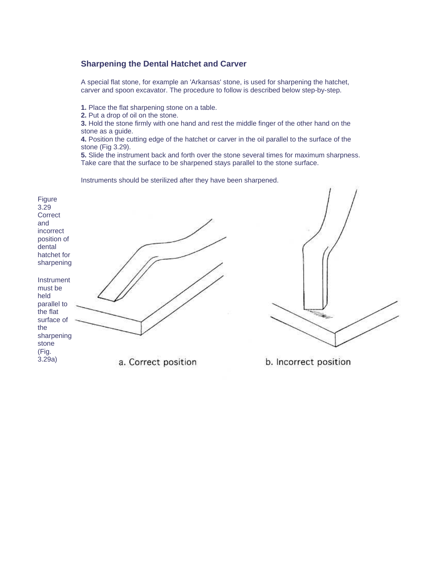#### **Sharpening the Dental Hatchet and Carver**

A special flat stone, for example an 'Arkansas' stone, is used for sharpening the hatchet, carver and spoon excavator. The procedure to follow is described below step-by-step.

**1.** Place the flat sharpening stone on a table.

**2.** Put a drop of oil on the stone.

**3.** Hold the stone firmly with one hand and rest the middle finger of the other hand on the stone as a guide.

**4.** Position the cutting edge of the hatchet or carver in the oil parallel to the surface of the stone (Fig 3.29).

**5.** Slide the instrument back and forth over the stone several times for maximum sharpness. Take care that the surface to be sharpened stays parallel to the stone surface.

Instruments should be sterilized after they have been sharpened.



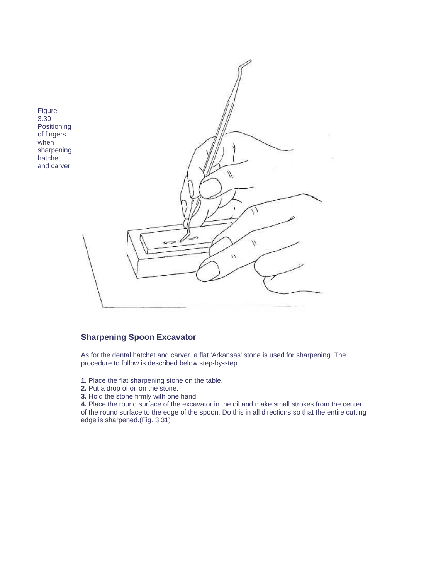

### **Sharpening Spoon Excavator**

As for the dental hatchet and carver, a flat 'Arkansas' stone is used for sharpening. The procedure to follow is described below step-by-step.

- **1.** Place the flat sharpening stone on the table.
- **2.** Put a drop of oil on the stone.
- **3.** Hold the stone firmly with one hand.

**4.** Place the round surface of the excavator in the oil and make small strokes from the center of the round surface to the edge of the spoon. Do this in all directions so that the entire cutting edge is sharpened.(Fig. 3.31)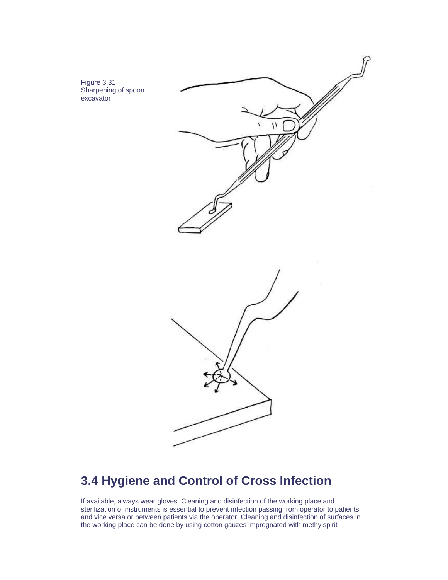Figure 3.31 Sharpening of spoon excavator





# **3.4 Hygiene and Control of Cross Infection**

If available, always wear gloves. Cleaning and disinfection of the working place and sterilization of instruments is essential to prevent infection passing from operator to patients and vice versa or between patients via the operator. Cleaning and disinfection of surfaces in the working place can be done by using cotton gauzes impregnated with methylspirit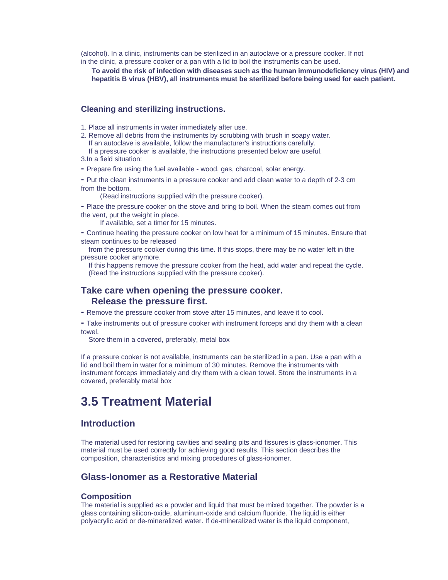(alcohol). In a clinic, instruments can be sterilized in an autoclave or a pressure cooker. If not in the clinic, a pressure cooker or a pan with a lid to boil the instruments can be used.

**To avoid the risk of infection with diseases such as the human immunodeficiency virus (HIV) and hepatitis B virus (HBV), all instruments must be sterilized before being used for each patient.**

#### **Cleaning and sterilizing instructions.**

- 1. Place all instruments in water immediately after use.
- 2. Remove all debris from the instruments by scrubbing with brush in soapy water. If an autoclave is available, follow the manufacturer's instructions carefully.
- If a pressure cooker is available, the instructions presented below are useful. 3.In a field situation:
- Prepare fire using the fuel available wood, gas, charcoal, solar energy.
- Put the clean instruments in a pressure cooker and add clean water to a depth of 2-3 cm from the bottom.

(Read instructions supplied with the pressure cooker).

- Place the pressure cooker on the stove and bring to boil. When the steam comes out from the vent, put the weight in place.
	- If available, set a timer for 15 minutes.
- Continue heating the pressure cooker on low heat for a minimum of 15 minutes. Ensure that steam continues to be released
- from the pressure cooker during this time. If this stops, there may be no water left in the pressure cooker anymore.
	- If this happens remove the pressure cooker from the heat, add water and repeat the cycle. (Read the instructions supplied with the pressure cooker).

#### **Take care when opening the pressure cooker. Release the pressure first.**

- Remove the pressure cooker from stove after 15 minutes, and leave it to cool.
- Take instruments out of pressure cooker with instrument forceps and dry them with a clean towel.

Store them in a covered, preferably, metal box

If a pressure cooker is not available, instruments can be sterilized in a pan. Use a pan with a lid and boil them in water for a minimum of 30 minutes. Remove the instruments with instrument forceps immediately and dry them with a clean towel. Store the instruments in a covered, preferably metal box

# **3.5 Treatment Material**

#### **Introduction**

The material used for restoring cavities and sealing pits and fissures is glass-ionomer. This material must be used correctly for achieving good results. This section describes the composition, characteristics and mixing procedures of glass-ionomer.

#### **Glass-Ionomer as a Restorative Material**

#### **Composition**

The material is supplied as a powder and liquid that must be mixed together. The powder is a glass containing silicon-oxide, aluminum-oxide and calcium fluoride. The liquid is either polyacrylic acid or de-mineralized water. If de-mineralized water is the liquid component,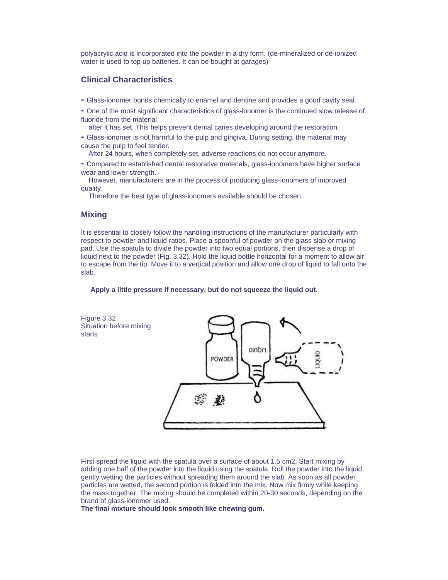polyacrylic acid is incorporated into the powder in a dry form. (de-mineralized or de-ionized water is used to top up batteries. It can be bought at garages)

#### **Clinical Characteristics**

- Glass-ionomer bonds chemically to enamel and dentine and provides a good cavity seal.
- One of the most significant characteristics of glass-ionomer is the continued slow release of fluoride from the material
	- after it has set. This helps prevent dental caries developing around the restoration.
- Glass-ionomer is not harmful to the pulp and gingiva. During setting, the material may cause the pulp to feel tender.
	- After 24 hours, when completely set, adverse reactions do not occur anymore.
- Compared to established dental restorative materials, glass-ionomers have higher surface wear and lower strength.

 However, manufacturers are in the process of producing glass-ionomers of improved quality.

Therefore the best type of glass-ionomers available should be chosen.

#### **Mixing**

It is essential to closely follow the handling instructions of the manufacturer particularly with respect to powder and liquid ratios. Place a spoonful of powder on the glass slab or mixing pad. Use the spatula to divide the powder into two equal portions, then dispense a drop of liquid next to the powder (Fig. 3.32). Hold the liquid bottle horizontal for a moment to allow air to escape from the tip. Move it to a vertical position and allow one drop of liquid to fall onto the slab.

#### **Apply a little pressure if necessary, but do not squeeze the liquid out.**



First spread the liquid with the spatula over a surface of about 1.5 cm2. Start mixing by adding one half of the powder into the liquid using the spatula. Roll the powder into the liquid, gently wetting the particles without spreading them around the slab. As soon as all powder particles are wetted, the second portion is folded into the mix. Now mix firmly while keeping the mass together. The mixing should be completed within 20-30 seconds, depending on the brand of glass-ionomer used.

**The final mixture should look smooth like chewing gum.**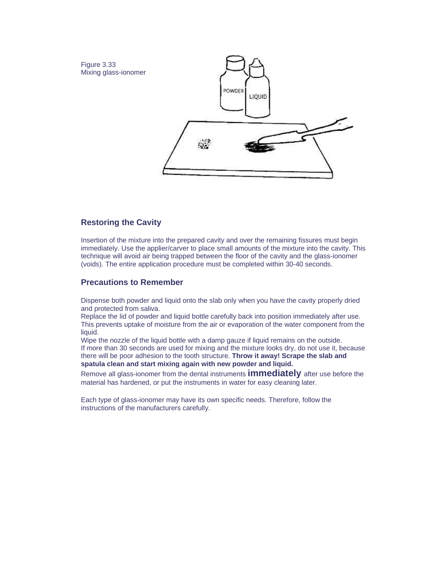

#### **Restoring the Cavity**

Insertion of the mixture into the prepared cavity and over the remaining fissures must begin immediately. Use the applier/carver to place small amounts of the mixture into the cavity. This technique will avoid air being trapped between the floor of the cavity and the glass-ionomer (voids). The entire application procedure must be completed within 30-40 seconds.

#### **Precautions to Remember**

Dispense both powder and liquid onto the slab only when you have the cavity properly dried and protected from saliva.

Replace the lid of powder and liquid bottle carefully back into position immediately after use. This prevents uptake of moisture from the air or evaporation of the water component from the liquid.

Wipe the nozzle of the liquid bottle with a damp gauze if liquid remains on the outside. If more than 30 seconds are used for mixing and the mixture looks dry, do not use it, because there will be poor adhesion to the tooth structure. **Throw it away! Scrape the slab and spatula clean and start mixing again with new powder and liquid.**

Remove all glass-ionomer from the dental instruments **immediately** after use before the material has hardened, or put the instruments in water for easy cleaning later.

Each type of glass-ionomer may have its own specific needs. Therefore, follow the instructions of the manufacturers carefully.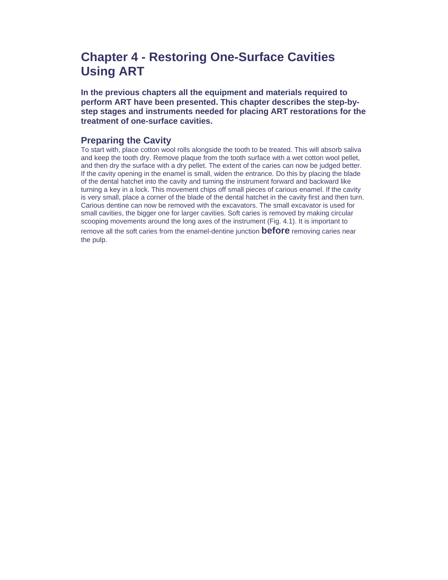# **Chapter 4 - Restoring One-Surface Cavities Using ART**

**In the previous chapters all the equipment and materials required to perform ART have been presented. This chapter describes the step-bystep stages and instruments needed for placing ART restorations for the treatment of one-surface cavities.**

### **Preparing the Cavity**

To start with, place cotton wool rolls alongside the tooth to be treated. This will absorb saliva and keep the tooth dry. Remove plaque from the tooth surface with a wet cotton wool pellet, and then dry the surface with a dry pellet. The extent of the caries can now be judged better. If the cavity opening in the enamel is small, widen the entrance. Do this by placing the blade of the dental hatchet into the cavity and turning the instrument forward and backward like turning a key in a lock. This movement chips off small pieces of carious enamel. If the cavity is very small, place a corner of the blade of the dental hatchet in the cavity first and then turn. Carious dentine can now be removed with the excavators. The small excavator is used for small cavities, the bigger one for larger cavities. Soft caries is removed by making circular scooping movements around the long axes of the instrument (Fig. 4.1). It is important to

remove all the soft caries from the enamel-dentine junction **before** removing caries near the pulp.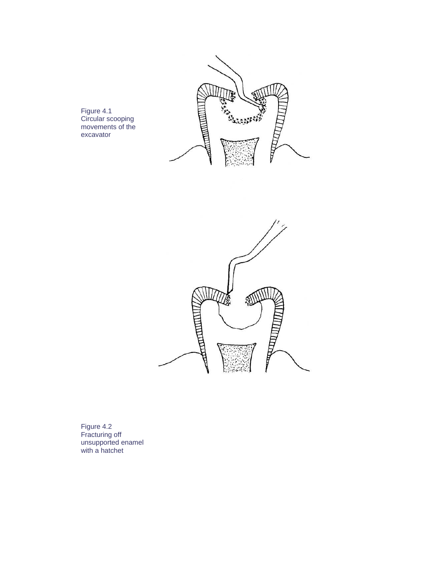

Figure 4.1 Circular scooping movements of the excavator



Figure 4.2 Fracturing off unsupported enamel with a hatchet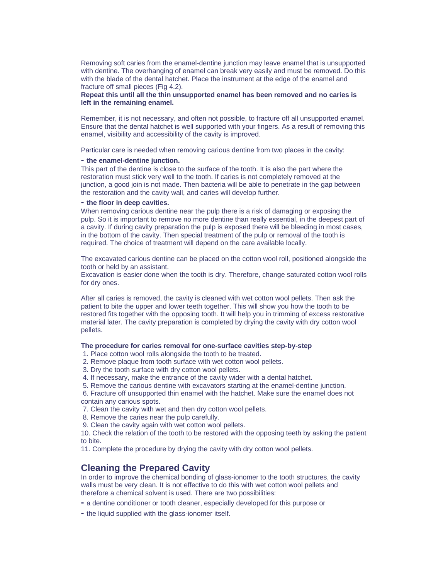Removing soft caries from the enamel-dentine junction may leave enamel that is unsupported with dentine. The overhanging of enamel can break very easily and must be removed. Do this with the blade of the dental hatchet. Place the instrument at the edge of the enamel and fracture off small pieces (Fig 4.2).

**Repeat this until all the thin unsupported enamel has been removed and no caries is left in the remaining enamel.**

Remember, it is not necessary, and often not possible, to fracture off all unsupported enamel. Ensure that the dental hatchet is well supported with your fingers. As a result of removing this enamel, visibility and accessibility of the cavity is improved.

Particular care is needed when removing carious dentine from two places in the cavity:

#### **- the enamel-dentine junction.**

This part of the dentine is close to the surface of the tooth. It is also the part where the restoration must stick very well to the tooth. If caries is not completely removed at the junction, a good join is not made. Then bacteria will be able to penetrate in the gap between the restoration and the cavity wall, and caries will develop further.

#### **- the floor in deep cavities.**

When removing carious dentine near the pulp there is a risk of damaging or exposing the pulp. So it is important to remove no more dentine than really essential, in the deepest part of a cavity. If during cavity preparation the pulp is exposed there will be bleeding in most cases, in the bottom of the cavity. Then special treatment of the pulp or removal of the tooth is required. The choice of treatment will depend on the care available locally.

The excavated carious dentine can be placed on the cotton wool roll, positioned alongside the tooth or held by an assistant.

Excavation is easier done when the tooth is dry. Therefore, change saturated cotton wool rolls for dry ones.

After all caries is removed, the cavity is cleaned with wet cotton wool pellets. Then ask the patient to bite the upper and lower teeth together. This will show you how the tooth to be restored fits together with the opposing tooth. It will help you in trimming of excess restorative material later. The cavity preparation is completed by drying the cavity with dry cotton wool pellets.

#### **The procedure for caries removal for one-surface cavities step-by-step**

1. Place cotton wool rolls alongside the tooth to be treated.

- 2. Remove plaque from tooth surface with wet cotton wool pellets.
- 3. Dry the tooth surface with dry cotton wool pellets.
- 4. If necessary, make the entrance of the cavity wider with a dental hatchet.
- 5. Remove the carious dentine with excavators starting at the enamel-dentine junction.
- 6. Fracture off unsupported thin enamel with the hatchet. Make sure the enamel does not contain any carious spots.
- 7. Clean the cavity with wet and then dry cotton wool pellets.
- 8. Remove the caries near the pulp carefully.
- 9. Clean the cavity again with wet cotton wool pellets.

10. Check the relation of the tooth to be restored with the opposing teeth by asking the patient to bite.

11. Complete the procedure by drying the cavity with dry cotton wool pellets.

#### **Cleaning the Prepared Cavity**

In order to improve the chemical bonding of glass-ionomer to the tooth structures, the cavity walls must be very clean. It is not effective to do this with wet cotton wool pellets and therefore a chemical solvent is used. There are two possibilities:

- a dentine conditioner or tooth cleaner, especially developed for this purpose or
- the liquid supplied with the glass-ionomer itself.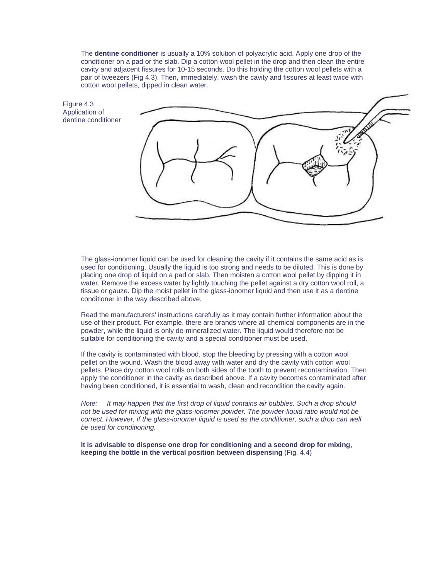The **dentine conditioner** is usually a 10% solution of polyacrylic acid. Apply one drop of the conditioner on a pad or the slab. Dip a cotton wool pellet in the drop and then clean the entire cavity and adjacent fissures for 10-15 seconds. Do this holding the cotton wool pellets with a pair of tweezers (Fig 4.3). Then, immediately, wash the cavity and fissures at least twice with cotton wool pellets, dipped in clean water.

Figure 4.3 Application of dentine conditioner



The glass-ionomer liquid can be used for cleaning the cavity if it contains the same acid as is used for conditioning. Usually the liquid is too strong and needs to be diluted. This is done by placing one drop of liquid on a pad or slab. Then moisten a cotton wool pellet by dipping it in water. Remove the excess water by lightly touching the pellet against a dry cotton wool roll, a tissue or gauze. Dip the moist pellet in the glass-ionomer liquid and then use it as a dentine conditioner in the way described above.

Read the manufacturers' instructions carefully as it may contain further information about the use of their product. For example, there are brands where all chemical components are in the powder, while the liquid is only de-mineralized water. The liquid would therefore not be suitable for conditioning the cavity and a special conditioner must be used.

If the cavity is contaminated with blood, stop the bleeding by pressing with a cotton wool pellet on the wound. Wash the blood away with water and dry the cavity with cotton wool pellets. Place dry cotton wool rolls on both sides of the tooth to prevent recontamination. Then apply the conditioner in the cavity as described above. If a cavity becomes contaminated after having been conditioned, it is essential to wash, clean and recondition the cavity again.

*Note: It may happen that the first drop of liquid contains air bubbles. Such a drop should not be used for mixing with the glass-ionomer powder. The powder-liquid ratio would not be correct. However, if the glass-ionomer liquid is used as the conditioner, such a drop can well be used for conditioning.* 

**It is advisable to dispense one drop for conditioning and a second drop for mixing, keeping the bottle in the vertical position between dispensing** (Fig. 4.4)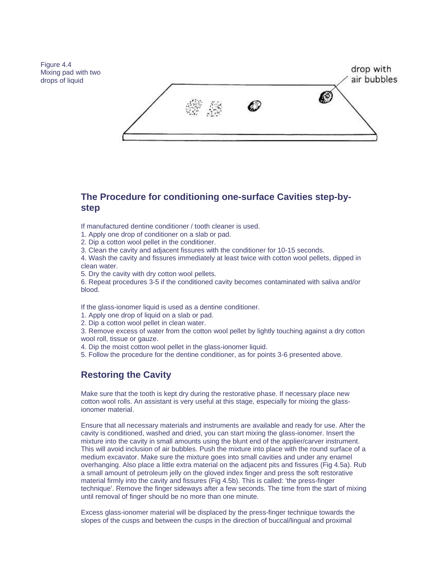Figure 4.4 Mixing pad with two drops of liquid



# **The Procedure for conditioning one-surface Cavities step-bystep**

If manufactured dentine conditioner / tooth cleaner is used.

- 1. Apply one drop of conditioner on a slab or pad.
- 2. Dip a cotton wool pellet in the conditioner.
- 3. Clean the cavity and adjacent fissures with the conditioner for 10-15 seconds.

4. Wash the cavity and fissures immediately at least twice with cotton wool pellets, dipped in clean water.

5. Dry the cavity with dry cotton wool pellets.

6. Repeat procedures 3-5 if the conditioned cavity becomes contaminated with saliva and/or blood.

If the glass-ionomer liquid is used as a dentine conditioner.

- 1. Apply one drop of liquid on a slab or pad.
- 2. Dip a cotton wool pellet in clean water.

3. Remove excess of water from the cotton wool pellet by lightly touching against a dry cotton wool roll, tissue or gauze.

- 4. Dip the moist cotton wool pellet in the glass-ionomer liquid.
- 5. Follow the procedure for the dentine conditioner, as for points 3-6 presented above.

# **Restoring the Cavity**

Make sure that the tooth is kept dry during the restorative phase. If necessary place new cotton wool rolls. An assistant is very useful at this stage, especially for mixing the glassionomer material.

Ensure that all necessary materials and instruments are available and ready for use. After the cavity is conditioned, washed and dried, you can start mixing the glass-ionomer. Insert the mixture into the cavity in small amounts using the blunt end of the applier/carver instrument. This will avoid inclusion of air bubbles. Push the mixture into place with the round surface of a medium excavator. Make sure the mixture goes into small cavities and under any enamel overhanging. Also place a little extra material on the adjacent pits and fissures (Fig 4.5a). Rub a small amount of petroleum jelly on the gloved index finger and press the soft restorative material firmly into the cavity and fissures (Fig 4.5b). This is called: 'the press-finger technique'. Remove the finger sideways after a few seconds. The time from the start of mixing until removal of finger should be no more than one minute.

Excess glass-ionomer material will be displaced by the press-finger technique towards the slopes of the cusps and between the cusps in the direction of buccal/lingual and proximal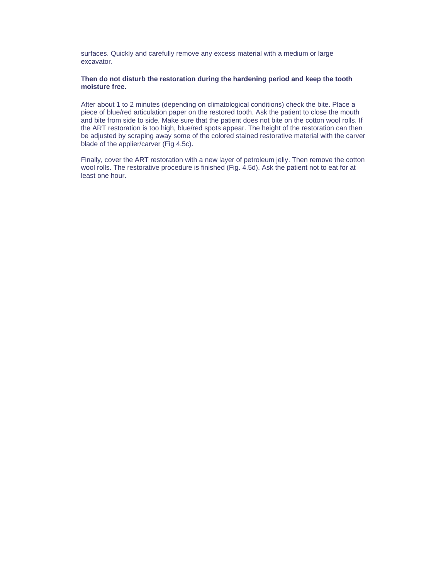surfaces. Quickly and carefully remove any excess material with a medium or large excavator.

#### **Then do not disturb the restoration during the hardening period and keep the tooth moisture free.**

After about 1 to 2 minutes (depending on climatological conditions) check the bite. Place a piece of blue/red articulation paper on the restored tooth. Ask the patient to close the mouth and bite from side to side. Make sure that the patient does not bite on the cotton wool rolls. If the ART restoration is too high, blue/red spots appear. The height of the restoration can then be adjusted by scraping away some of the colored stained restorative material with the carver blade of the applier/carver (Fig 4.5c).

Finally, cover the ART restoration with a new layer of petroleum jelly. Then remove the cotton wool rolls. The restorative procedure is finished (Fig. 4.5d). Ask the patient not to eat for at least one hour.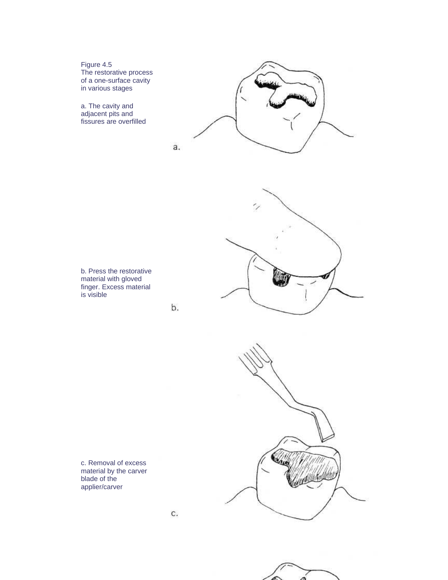Figure 4.5 The restorative process of a one-surface cavity in various stages

a. The cavity and adjacent pits and fissures are overfilled





b.



c. Removal of excess material by the carver blade of the applier/carver

C.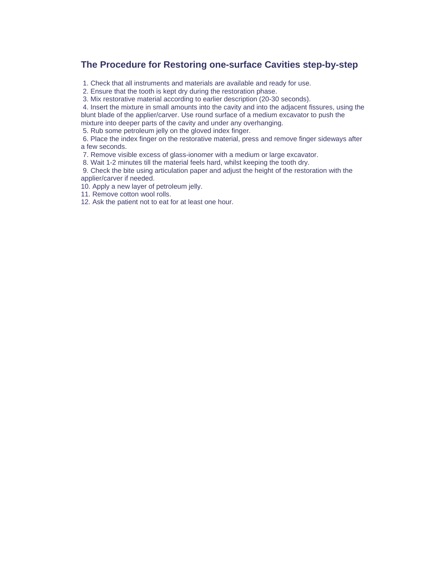# **The Procedure for Restoring one-surface Cavities step-by-step**

1. Check that all instruments and materials are available and ready for use.

2. Ensure that the tooth is kept dry during the restoration phase.

3. Mix restorative material according to earlier description (20-30 seconds).

 4. Insert the mixture in small amounts into the cavity and into the adjacent fissures, using the blunt blade of the applier/carver. Use round surface of a medium excavator to push the mixture into deeper parts of the cavity and under any overhanging.

5. Rub some petroleum jelly on the gloved index finger.

 6. Place the index finger on the restorative material, press and remove finger sideways after a few seconds.

7. Remove visible excess of glass-ionomer with a medium or large excavator.

8. Wait 1-2 minutes till the material feels hard, whilst keeping the tooth dry.

 9. Check the bite using articulation paper and adjust the height of the restoration with the applier/carver if needed.

10. Apply a new layer of petroleum jelly.

11. Remove cotton wool rolls.

12. Ask the patient not to eat for at least one hour.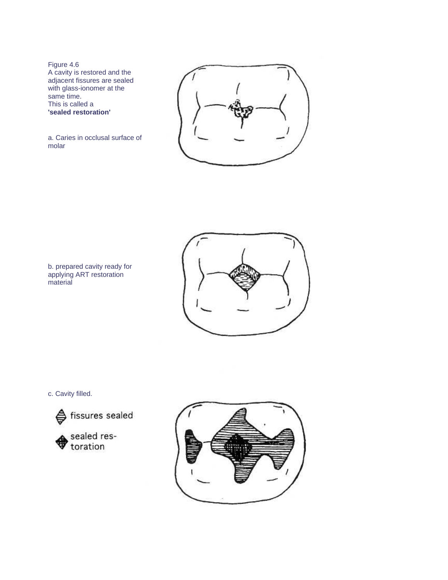Figure 4.6 A cavity is restored and the adjacent fissures are sealed with glass-ionomer at the same time. This is called a **'sealed restoration'**



a. Caries in occlusal surface of molar





c. Cavity filled.





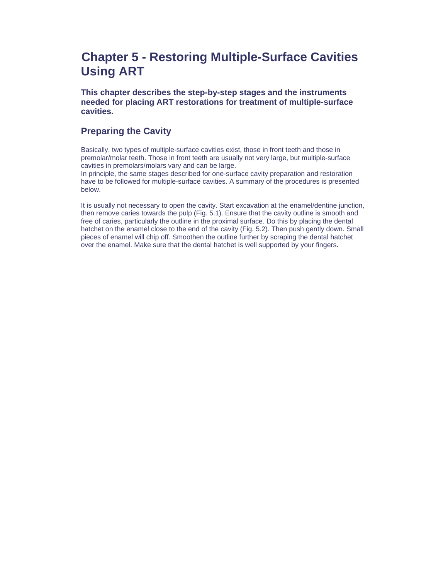# **Chapter 5 - Restoring Multiple-Surface Cavities Using ART**

**This chapter describes the step-by-step stages and the instruments needed for placing ART restorations for treatment of multiple-surface cavities.**

### **Preparing the Cavity**

Basically, two types of multiple-surface cavities exist, those in front teeth and those in premolar/molar teeth. Those in front teeth are usually not very large, but multiple-surface cavities in premolars/molars vary and can be large.

In principle, the same stages described for one-surface cavity preparation and restoration have to be followed for multiple-surface cavities. A summary of the procedures is presented below.

It is usually not necessary to open the cavity. Start excavation at the enamel/dentine junction, then remove caries towards the pulp (Fig. 5.1). Ensure that the cavity outline is smooth and free of caries, particularly the outline in the proximal surface. Do this by placing the dental hatchet on the enamel close to the end of the cavity (Fig. 5.2). Then push gently down. Small pieces of enamel will chip off. Smoothen the outline further by scraping the dental hatchet over the enamel. Make sure that the dental hatchet is well supported by your fingers.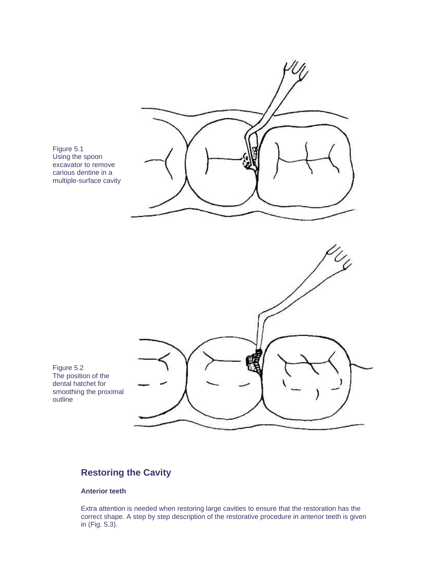

Figure 5.1 Using the spoon excavator to remove carious dentine in a multiple-surface cavity

Figure 5.2 The position of the dental hatchet for smoothing the proximal outline

# **Restoring the Cavity**

#### **Anterior teeth**

Extra attention is needed when restoring large cavities to ensure that the restoration has the correct shape. A step by step description of the restorative procedure in anterior teeth is given in (Fig. 5.3).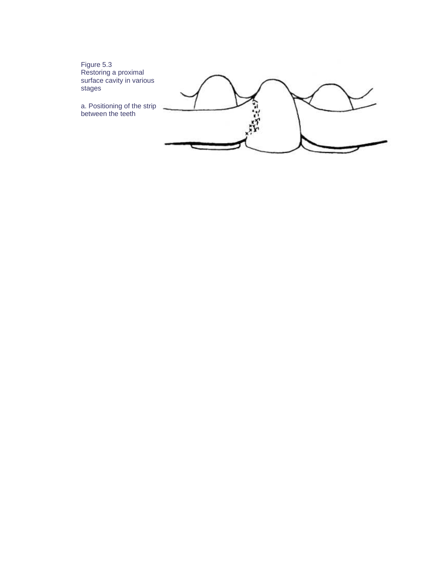Figure 5.3 Restoring a proximal surface cavity in various stages

a. Positioning of the strip between the teeth

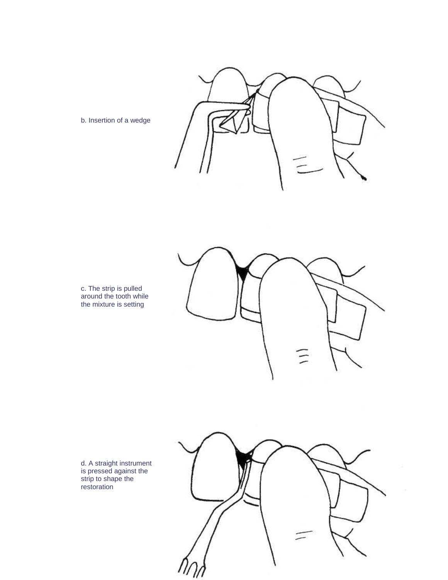c. The strip is pulled around the tooth while the mixture is setting

b. Insertion of a wedge



d. A straight instrument is pressed against the strip to shape the restoration

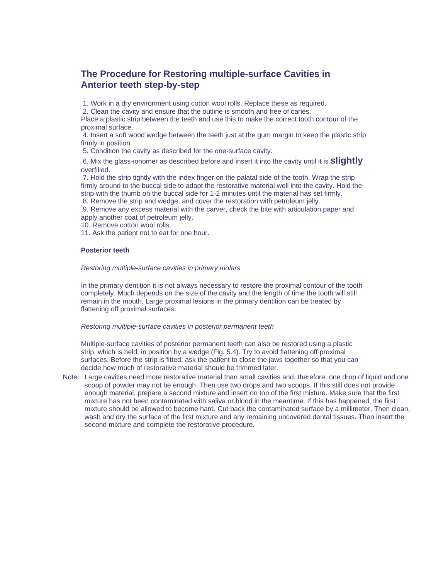### **The Procedure for Restoring multiple-surface Cavities in Anterior teeth step-by-step**

1. Work in a dry environment using cotton wool rolls. Replace these as required.

2. Clean the cavity and ensure that the outline is smooth and free of caries.

Place a plastic strip between the teeth and use this to make the correct tooth contour of the proximal surface.

 4. Insert a soft wood wedge between the teeth just at the gum margin to keep the plastic strip firmly in position.

5. Condition the cavity as described for the one-surface cavity.

 6. Mix the glass-ionomer as described before and insert it into the cavity until it is **slightly** overfilled.

 7. Hold the strip tightly with the index finger on the palatal side of the tooth. Wrap the strip firmly around to the buccal side to adapt the restorative material well into the cavity. Hold the strip with the thumb on the buccal side for 1-2 minutes until the material has set firmly.

8. Remove the strip and wedge, and cover the restoration with petroleum jelly.

 9. Remove any excess material with the carver, check the bite with articulation paper and apply another coat of petroleum jelly.

10. Remove cotton wool rolls.

11. Ask the patient not to eat for one hour.

#### **Posterior teeth**

#### *Restoring multiple-surface cavities in primary molars*

In the primary dentition it is not always necessary to restore the proximal contour of the tooth completely. Much depends on the size of the cavity and the length of time the tooth will still remain in the mouth. Large proximal lesions in the primary dentition can be treated by flattening off proximal surfaces.

#### *Restoring multiple-surface cavities in posterior permanent teeth*

Multiple-surface cavities of posterior permanent teeth can also be restored using a plastic strip, which is held, in position by a wedge (Fig. 5.4). Try to avoid flattening off proximal surfaces. Before the strip is fitted, ask the patient to close the jaws together so that you can decide how much of restorative material should be trimmed later.

Note: Large cavities need more restorative material than small cavities and, therefore, one drop of liquid and one scoop of powder may not be enough. Then use two drops and two scoops. If this still does not provide enough material, prepare a second mixture and insert on top of the first mixture. Make sure that the first mixture has not been contaminated with saliva or blood in the meantime. If this has happened, the first mixture should be allowed to become hard. Cut back the contaminated surface by a millimeter. Then clean, wash and dry the surface of the first mixture and any remaining uncovered dental tissues. Then insert the second mixture and complete the restorative procedure.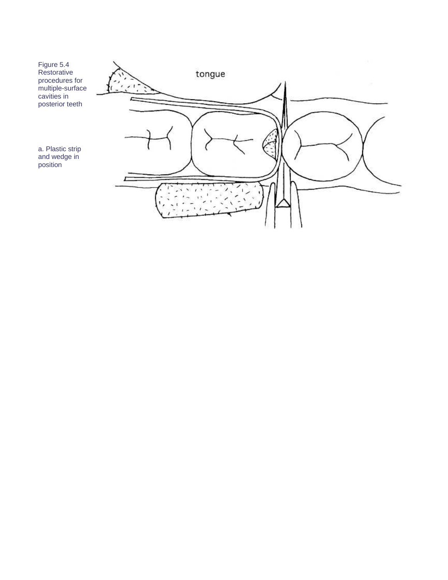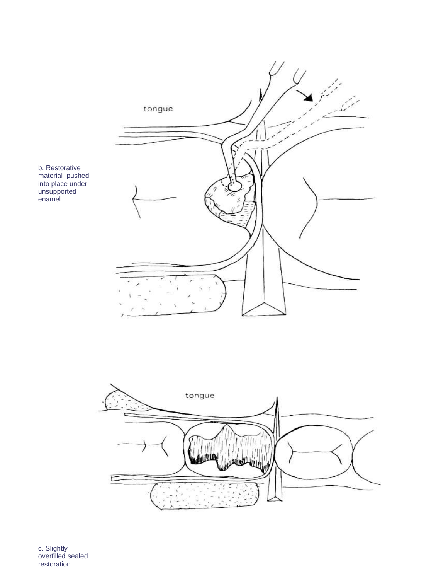

b. Restorative material pushed into place under unsupported enamel



c. Slightly overfilled sealed restoration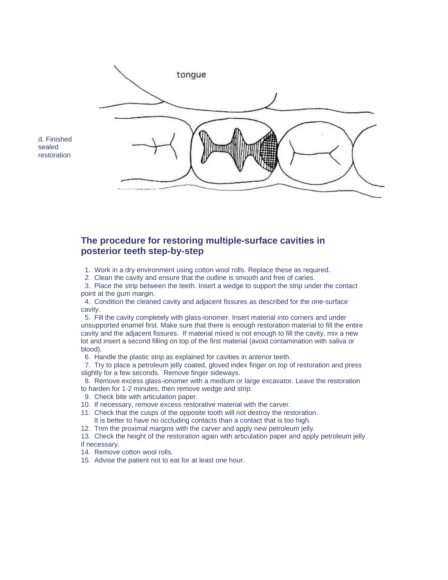

d. Finished sealed restoration

### **The procedure for restoring multiple-surface cavities in posterior teeth step-by-step**

- 1. Work in a dry environment using cotton wool rolls. Replace these as required.
- 2. Clean the cavity and ensure that the outline is smooth and free of caries.

 3. Place the strip between the teeth. Insert a wedge to support the strip under the contact point at the gum margin.

 4. Condition the cleaned cavity and adjacent fissures as described for the one-surface cavity.

 5. Fill the cavity completely with glass-ionomer. Insert material into corners and under unsupported enamel first. Make sure that there is enough restoration material to fill the entire cavity and the adjacent fissures. If material mixed is not enough to fill the cavity, mix a new lot and insert a second filling on top of the first material (avoid contamination with saliva or blood).

6. Handle the plastic strip as explained for cavities in anterior teeth.

 7. Try to place a petroleum jelly coated, gloved index finger on top of restoration and press slightly for a few seconds. Remove finger sideways.

 8. Remove excess glass-ionomer with a medium or large excavator. Leave the restoration to harden for 1-2 minutes, then remove wedge and strip.

- 9. Check bite with articulation paper.
- 10. If necessary, remove excess restorative material with the carver.
- 11. Check that the cusps of the opposite tooth will not destroy the restoration. It is better to have no occluding contacts than a contact that is too high.
- 12. Trim the proximal margins with the carver and apply new petroleum jelly.

13. Check the height of the restoration again with articulation paper and apply petroleum jelly if necessary.

- 14. Remove cotton wool rolls.
- 15. Advise the patient not to eat for at least one hour.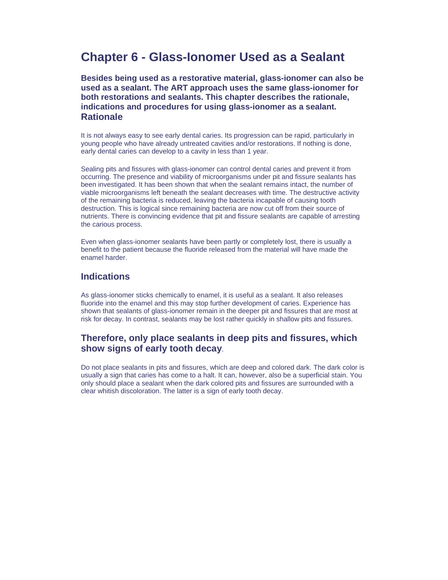# **Chapter 6 - Glass-Ionomer Used as a Sealant**

**Besides being used as a restorative material, glass-ionomer can also be used as a sealant. The ART approach uses the same glass-ionomer for both restorations and sealants. This chapter describes the rationale, indications and procedures for using glass-ionomer as a sealant. Rationale**

It is not always easy to see early dental caries. Its progression can be rapid, particularly in young people who have already untreated cavities and/or restorations. If nothing is done, early dental caries can develop to a cavity in less than 1 year.

Sealing pits and fissures with glass-ionomer can control dental caries and prevent it from occurring. The presence and viability of microorganisms under pit and fissure sealants has been investigated. It has been shown that when the sealant remains intact, the number of viable microorganisms left beneath the sealant decreases with time. The destructive activity of the remaining bacteria is reduced, leaving the bacteria incapable of causing tooth destruction. This is logical since remaining bacteria are now cut off from their source of nutrients. There is convincing evidence that pit and fissure sealants are capable of arresting the carious process.

Even when glass-ionomer sealants have been partly or completely lost, there is usually a benefit to the patient because the fluoride released from the material will have made the enamel harder.

#### **Indications**

As glass-ionomer sticks chemically to enamel, it is useful as a sealant. It also releases fluoride into the enamel and this may stop further development of caries. Experience has shown that sealants of glass-ionomer remain in the deeper pit and fissures that are most at risk for decay. In contrast, sealants may be lost rather quickly in shallow pits and fissures.

# **Therefore, only place sealants in deep pits and fissures, which show signs of early tooth decay**.

Do not place sealants in pits and fissures, which are deep and colored dark. The dark color is usually a sign that caries has come to a halt. It can, however, also be a superficial stain. You only should place a sealant when the dark colored pits and fissures are surrounded with a clear whitish discoloration. The latter is a sign of early tooth decay.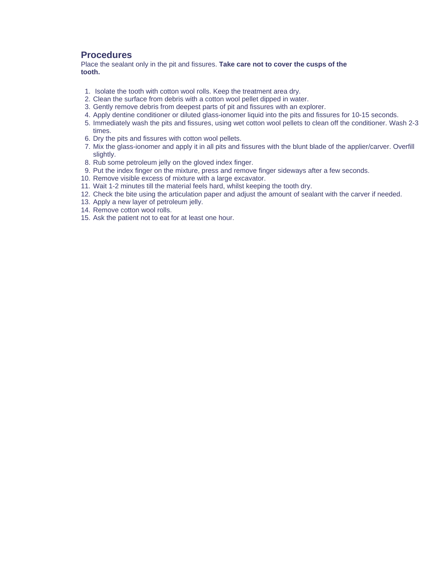#### **Procedures**

Place the sealant only in the pit and fissures. **Take care not to cover the cusps of the tooth.** 

- 1. Isolate the tooth with cotton wool rolls. Keep the treatment area dry.
- 2. Clean the surface from debris with a cotton wool pellet dipped in water.
- 3. Gently remove debris from deepest parts of pit and fissures with an explorer.
- 4. Apply dentine conditioner or diluted glass-ionomer liquid into the pits and fissures for 10-15 seconds.
- 5. Immediately wash the pits and fissures, using wet cotton wool pellets to clean off the conditioner. Wash 2-3 times.
- 6. Dry the pits and fissures with cotton wool pellets.
- 7. Mix the glass-ionomer and apply it in all pits and fissures with the blunt blade of the applier/carver. Overfill slightly.
- 8. Rub some petroleum jelly on the gloved index finger.
- 9. Put the index finger on the mixture, press and remove finger sideways after a few seconds.
- 10. Remove visible excess of mixture with a large excavator.
- 11. Wait 1-2 minutes till the material feels hard, whilst keeping the tooth dry.
- 12. Check the bite using the articulation paper and adjust the amount of sealant with the carver if needed.
- 13. Apply a new layer of petroleum jelly.
- 14. Remove cotton wool rolls.
- 15. Ask the patient not to eat for at least one hour.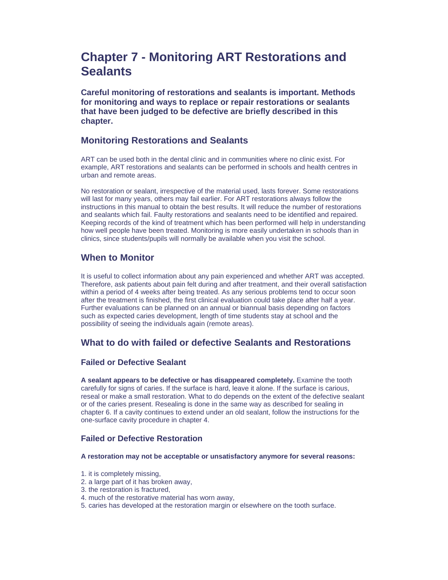# **Chapter 7 - Monitoring ART Restorations and Sealants**

**Careful monitoring of restorations and sealants is important. Methods for monitoring and ways to replace or repair restorations or sealants that have been judged to be defective are briefly described in this chapter.** 

### **Monitoring Restorations and Sealants**

ART can be used both in the dental clinic and in communities where no clinic exist. For example, ART restorations and sealants can be performed in schools and health centres in urban and remote areas.

No restoration or sealant, irrespective of the material used, lasts forever. Some restorations will last for many years, others may fail earlier. For ART restorations always follow the instructions in this manual to obtain the best results. It will reduce the number of restorations and sealants which fail. Faulty restorations and sealants need to be identified and repaired. Keeping records of the kind of treatment which has been performed will help in understanding how well people have been treated. Monitoring is more easily undertaken in schools than in clinics, since students/pupils will normally be available when you visit the school.

#### **When to Monitor**

It is useful to collect information about any pain experienced and whether ART was accepted. Therefore, ask patients about pain felt during and after treatment, and their overall satisfaction within a period of 4 weeks after being treated. As any serious problems tend to occur soon after the treatment is finished, the first clinical evaluation could take place after half a year. Further evaluations can be planned on an annual or biannual basis depending on factors such as expected caries development, length of time students stay at school and the possibility of seeing the individuals again (remote areas).

# **What to do with failed or defective Sealants and Restorations**

#### **Failed or Defective Sealant**

**A sealant appears to be defective or has disappeared completely.** Examine the tooth carefully for signs of caries. If the surface is hard, leave it alone. If the surface is carious, reseal or make a small restoration. What to do depends on the extent of the defective sealant or of the caries present. Resealing is done in the same way as described for sealing in chapter 6. If a cavity continues to extend under an old sealant, follow the instructions for the one-surface cavity procedure in chapter 4.

#### **Failed or Defective Restoration**

#### **A restoration may not be acceptable or unsatisfactory anymore for several reasons:**

- 1. it is completely missing,
- 2. a large part of it has broken away,
- 3. the restoration is fractured,
- 4. much of the restorative material has worn away,
- 5. caries has developed at the restoration margin or elsewhere on the tooth surface.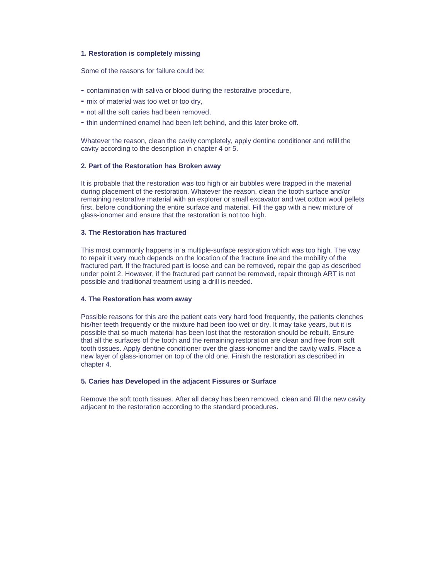#### **1. Restoration is completely missing**

Some of the reasons for failure could be:

- contamination with saliva or blood during the restorative procedure,
- mix of material was too wet or too dry,
- not all the soft caries had been removed,
- thin undermined enamel had been left behind, and this later broke off.

Whatever the reason, clean the cavity completely, apply dentine conditioner and refill the cavity according to the description in chapter 4 or 5.

#### **2. Part of the Restoration has Broken away**

It is probable that the restoration was too high or air bubbles were trapped in the material during placement of the restoration. Whatever the reason, clean the tooth surface and/or remaining restorative material with an explorer or small excavator and wet cotton wool pellets first, before conditioning the entire surface and material. Fill the gap with a new mixture of glass-ionomer and ensure that the restoration is not too high.

#### **3. The Restoration has fractured**

This most commonly happens in a multiple-surface restoration which was too high. The way to repair it very much depends on the location of the fracture line and the mobility of the fractured part. If the fractured part is loose and can be removed, repair the gap as described under point 2. However, if the fractured part cannot be removed, repair through ART is not possible and traditional treatment using a drill is needed.

#### **4. The Restoration has worn away**

Possible reasons for this are the patient eats very hard food frequently, the patients clenches his/her teeth frequently or the mixture had been too wet or dry. It may take years, but it is possible that so much material has been lost that the restoration should be rebuilt. Ensure that all the surfaces of the tooth and the remaining restoration are clean and free from soft tooth tissues. Apply dentine conditioner over the glass-ionomer and the cavity walls. Place a new layer of glass-ionomer on top of the old one. Finish the restoration as described in chapter 4.

#### **5. Caries has Developed in the adjacent Fissures or Surface**

Remove the soft tooth tissues. After all decay has been removed, clean and fill the new cavity adjacent to the restoration according to the standard procedures.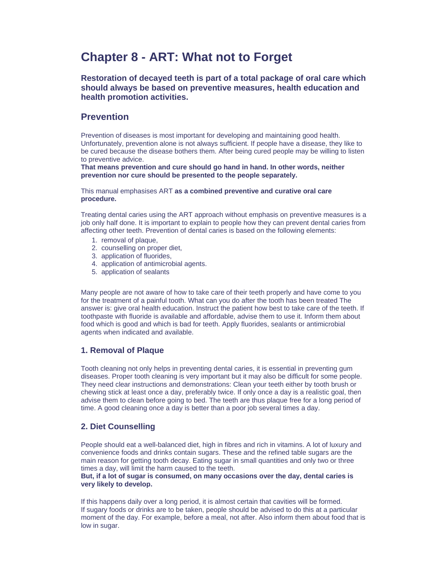# **Chapter 8 - ART: What not to Forget**

**Restoration of decayed teeth is part of a total package of oral care which should always be based on preventive measures, health education and health promotion activities.**

### **Prevention**

Prevention of diseases is most important for developing and maintaining good health. Unfortunately, prevention alone is not always sufficient. If people have a disease, they like to be cured because the disease bothers them. After being cured people may be willing to listen to preventive advice.

**That means prevention and cure should go hand in hand. In other words, neither prevention nor cure should be presented to the people separately.**

This manual emphasises ART **as a combined preventive and curative oral care procedure.**

Treating dental caries using the ART approach without emphasis on preventive measures is a job only half done. It is important to explain to people how they can prevent dental caries from affecting other teeth. Prevention of dental caries is based on the following elements:

- 1. removal of plaque,
- 2. counselling on proper diet,
- 3. application of fluorides,
- 4. application of antimicrobial agents.
- 5. application of sealants

Many people are not aware of how to take care of their teeth properly and have come to you for the treatment of a painful tooth. What can you do after the tooth has been treated The answer is: give oral health education. Instruct the patient how best to take care of the teeth. If toothpaste with fluoride is available and affordable, advise them to use it. Inform them about food which is good and which is bad for teeth. Apply fluorides, sealants or antimicrobial agents when indicated and available.

#### **1. Removal of Plaque**

Tooth cleaning not only helps in preventing dental caries, it is essential in preventing gum diseases. Proper tooth cleaning is very important but it may also be difficult for some people. They need clear instructions and demonstrations: Clean your teeth either by tooth brush or chewing stick at least once a day, preferably twice. If only once a day is a realistic goal, then advise them to clean before going to bed. The teeth are thus plaque free for a long period of time. A good cleaning once a day is better than a poor job several times a day.

#### **2. Diet Counselling**

People should eat a well-balanced diet, high in fibres and rich in vitamins. A lot of luxury and convenience foods and drinks contain sugars. These and the refined table sugars are the main reason for getting tooth decay. Eating sugar in small quantities and only two or three times a day, will limit the harm caused to the teeth.

#### **But, if a lot of sugar is consumed, on many occasions over the day, dental caries is very likely to develop.**

If this happens daily over a long period, it is almost certain that cavities will be formed. If sugary foods or drinks are to be taken, people should be advised to do this at a particular moment of the day. For example, before a meal, not after. Also inform them about food that is low in sugar.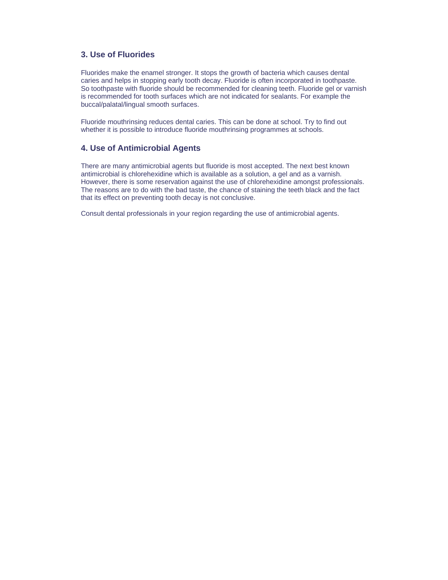#### **3. Use of Fluorides**

Fluorides make the enamel stronger. It stops the growth of bacteria which causes dental caries and helps in stopping early tooth decay. Fluoride is often incorporated in toothpaste. So toothpaste with fluoride should be recommended for cleaning teeth. Fluoride gel or varnish is recommended for tooth surfaces which are not indicated for sealants. For example the buccal/palatal/lingual smooth surfaces.

Fluoride mouthrinsing reduces dental caries. This can be done at school. Try to find out whether it is possible to introduce fluoride mouthrinsing programmes at schools.

#### **4. Use of Antimicrobial Agents**

There are many antimicrobial agents but fluoride is most accepted. The next best known antimicrobial is chlorehexidine which is available as a solution, a gel and as a varnish. However, there is some reservation against the use of chlorehexidine amongst professionals. The reasons are to do with the bad taste, the chance of staining the teeth black and the fact that its effect on preventing tooth decay is not conclusive.

Consult dental professionals in your region regarding the use of antimicrobial agents.